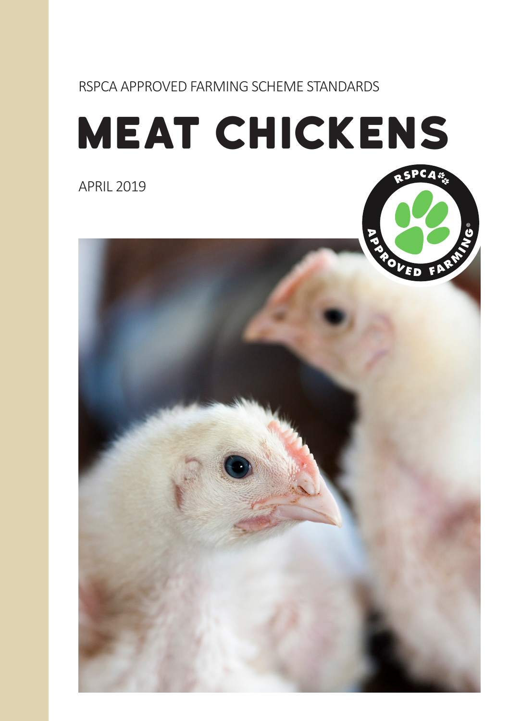# RSPCA APPROVED FARMING SCHEME STANDARDS

# meat chickens

APRIL 2019

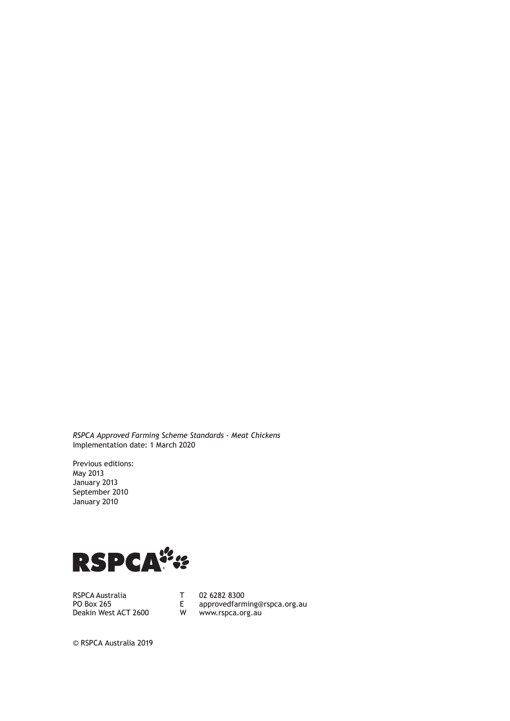*RSPCA Approved Farming Scheme Standards - Meat Chickens* Implementation date: 1 March 2020

Previous editions: May 2013 January 2013 September 2010 January 2010



RSPCA Australia PO Box 265 Deakin West ACT 2600 T 02 6282 8300<br>E approvedfarm approvedfarming@rspca.org.au W www.rspca.org.au

© RSPCA Australia 2019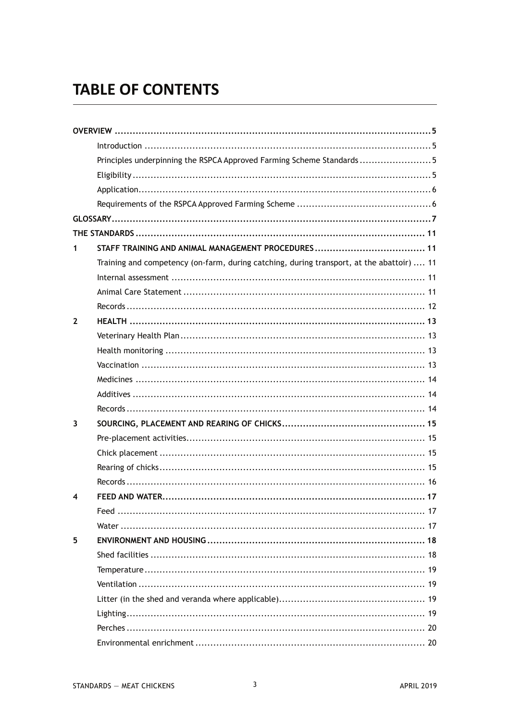# **TABLE OF CONTENTS**

|              | Principles underpinning the RSPCA Approved Farming Scheme Standards5                      |
|--------------|-------------------------------------------------------------------------------------------|
|              |                                                                                           |
|              |                                                                                           |
|              |                                                                                           |
|              |                                                                                           |
|              |                                                                                           |
| 1            |                                                                                           |
|              | Training and competency (on-farm, during catching, during transport, at the abattoir)  11 |
|              |                                                                                           |
|              |                                                                                           |
|              |                                                                                           |
| $\mathbf{2}$ |                                                                                           |
|              |                                                                                           |
|              |                                                                                           |
|              |                                                                                           |
|              |                                                                                           |
|              |                                                                                           |
|              |                                                                                           |
| 3            |                                                                                           |
|              |                                                                                           |
|              |                                                                                           |
|              |                                                                                           |
|              |                                                                                           |
| 4            |                                                                                           |
|              |                                                                                           |
|              |                                                                                           |
| 5            |                                                                                           |
|              |                                                                                           |
|              |                                                                                           |
|              |                                                                                           |
|              |                                                                                           |
|              |                                                                                           |
|              |                                                                                           |
|              |                                                                                           |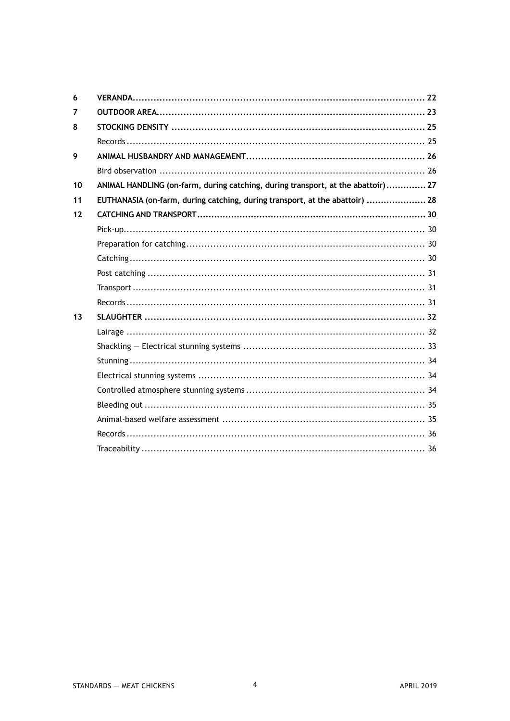| 6  |                                                                                  |  |
|----|----------------------------------------------------------------------------------|--|
| 7  |                                                                                  |  |
| 8  |                                                                                  |  |
|    |                                                                                  |  |
| 9  |                                                                                  |  |
|    |                                                                                  |  |
| 10 | ANIMAL HANDLING (on-farm, during catching, during transport, at the abattoir) 27 |  |
| 11 | EUTHANASIA (on-farm, during catching, during transport, at the abattoir)  28     |  |
| 12 |                                                                                  |  |
|    |                                                                                  |  |
|    |                                                                                  |  |
|    |                                                                                  |  |
|    |                                                                                  |  |
|    |                                                                                  |  |
|    |                                                                                  |  |
| 13 |                                                                                  |  |
|    |                                                                                  |  |
|    |                                                                                  |  |
|    |                                                                                  |  |
|    |                                                                                  |  |
|    |                                                                                  |  |
|    |                                                                                  |  |
|    |                                                                                  |  |
|    |                                                                                  |  |
|    |                                                                                  |  |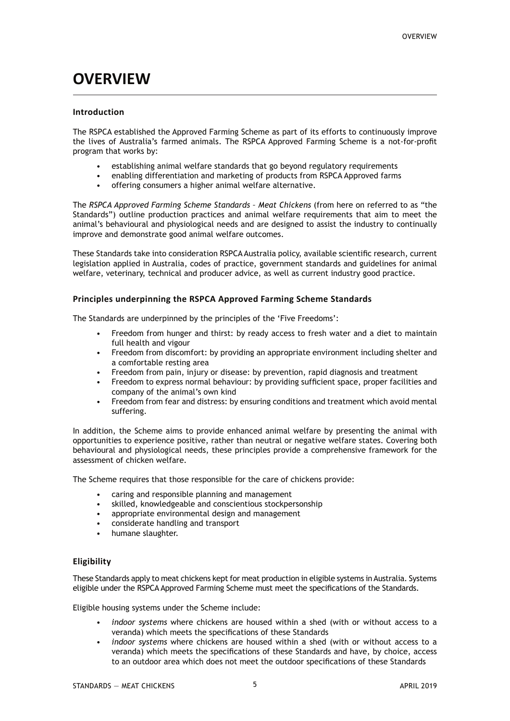# **OVERVIEW**

#### **Introduction**

The RSPCA established the Approved Farming Scheme as part of its efforts to continuously improve the lives of Australia's farmed animals. The RSPCA Approved Farming Scheme is a not-for-profit program that works by:

- establishing animal welfare standards that go beyond regulatory requirements
- enabling differentiation and marketing of products from RSPCA Approved farms
- offering consumers a higher animal welfare alternative.

The *RSPCA Approved Farming Scheme Standards – Meat Chickens* (from here on referred to as "the Standards") outline production practices and animal welfare requirements that aim to meet the animal's behavioural and physiological needs and are designed to assist the industry to continually improve and demonstrate good animal welfare outcomes.

These Standards take into consideration RSPCA Australia policy, available scientific research, current legislation applied in Australia, codes of practice, government standards and guidelines for animal welfare, veterinary, technical and producer advice, as well as current industry good practice.

#### **Principles underpinning the RSPCA Approved Farming Scheme Standards**

The Standards are underpinned by the principles of the 'Five Freedoms':

- Freedom from hunger and thirst: by ready access to fresh water and a diet to maintain full health and vigour
- Freedom from discomfort: by providing an appropriate environment including shelter and a comfortable resting area
- Freedom from pain, injury or disease: by prevention, rapid diagnosis and treatment
- Freedom to express normal behaviour: by providing sufficient space, proper facilities and company of the animal's own kind
- Freedom from fear and distress: by ensuring conditions and treatment which avoid mental suffering.

In addition, the Scheme aims to provide enhanced animal welfare by presenting the animal with opportunities to experience positive, rather than neutral or negative welfare states. Covering both behavioural and physiological needs, these principles provide a comprehensive framework for the assessment of chicken welfare.

The Scheme requires that those responsible for the care of chickens provide:

- caring and responsible planning and management
- skilled, knowledgeable and conscientious stockpersonship
- appropriate environmental design and management
- considerate handling and transport
- humane slaughter.

#### **Eligibility**

These Standards apply to meat chickens kept for meat production in eligible systems in Australia. Systems eligible under the RSPCA Approved Farming Scheme must meet the specifications of the Standards.

Eligible housing systems under the Scheme include:

- *• indoor systems* where chickens are housed within a shed (with or without access to a veranda) which meets the specifications of these Standards
- *• indoor systems* where chickens are housed within a shed (with or without access to a veranda) which meets the specifications of these Standards and have, by choice, access to an outdoor area which does not meet the outdoor specifications of these Standards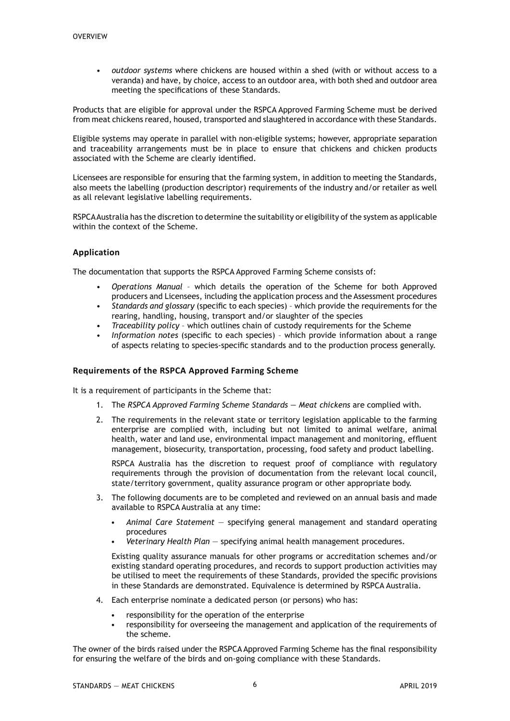*• outdoor systems* where chickens are housed within a shed (with or without access to a veranda) and have, by choice, access to an outdoor area, with both shed and outdoor area meeting the specifications of these Standards.

Products that are eligible for approval under the RSPCA Approved Farming Scheme must be derived from meat chickens reared, housed, transported and slaughtered in accordance with these Standards.

Eligible systems may operate in parallel with non-eligible systems; however, appropriate separation and traceability arrangements must be in place to ensure that chickens and chicken products associated with the Scheme are clearly identified.

Licensees are responsible for ensuring that the farming system, in addition to meeting the Standards, also meets the labelling (production descriptor) requirements of the industry and/or retailer as well as all relevant legislative labelling requirements.

RSPCA Australia has the discretion to determine the suitability or eligibility of the system as applicable within the context of the Scheme.

#### **Application**

The documentation that supports the RSPCA Approved Farming Scheme consists of:

- *• Operations Manual* which details the operation of the Scheme for both Approved producers and Licensees, including the application process and the Assessment procedures
- *• Standards and glossary* (specific to each species) which provide the requirements for the rearing, handling, housing, transport and/or slaughter of the species
- *• Traceability policy* which outlines chain of custody requirements for the Scheme
- *• Information notes* (specific to each species) which provide information about a range of aspects relating to species-specific standards and to the production process generally.

#### **Requirements of the RSPCA Approved Farming Scheme**

It is a requirement of participants in the Scheme that:

- 1. The *RSPCA Approved Farming Scheme Standards Meat chickens* are complied with.
- 2. The requirements in the relevant state or territory legislation applicable to the farming enterprise are complied with, including but not limited to animal welfare, animal health, water and land use, environmental impact management and monitoring, effluent management, biosecurity, transportation, processing, food safety and product labelling.

 RSPCA Australia has the discretion to request proof of compliance with regulatory requirements through the provision of documentation from the relevant local council, state/territory government, quality assurance program or other appropriate body.

- 3. The following documents are to be completed and reviewed on an annual basis and made available to RSPCA Australia at any time:
	- *• Animal Care Statement* specifying general management and standard operating procedures
	- *• Veterinary Health Plan* specifying animal health management procedures.

 Existing quality assurance manuals for other programs or accreditation schemes and/or existing standard operating procedures, and records to support production activities may be utilised to meet the requirements of these Standards, provided the specific provisions in these Standards are demonstrated. Equivalence is determined by RSPCA Australia.

- 4. Each enterprise nominate a dedicated person (or persons) who has:
	- responsibility for the operation of the enterprise
	- responsibility for overseeing the management and application of the requirements of the scheme.

The owner of the birds raised under the RSPCA Approved Farming Scheme has the final responsibility for ensuring the welfare of the birds and on-going compliance with these Standards.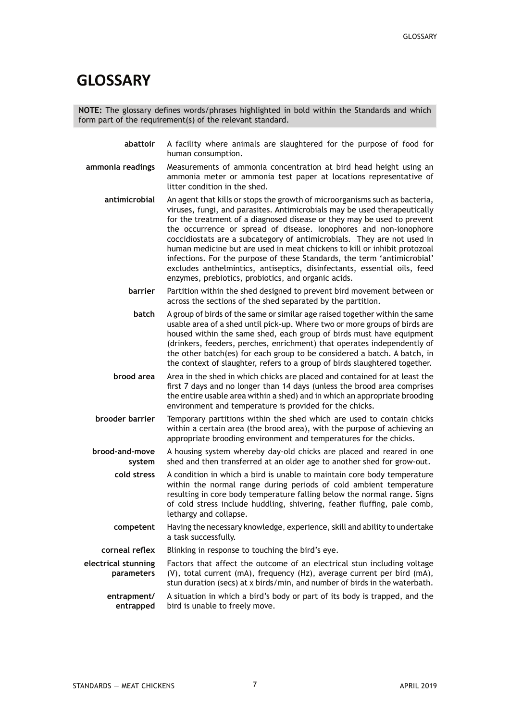## **GLOSSARY**

**NOTE:** The glossary defines words/phrases highlighted in bold within the Standards and which form part of the requirement(s) of the relevant standard.

- **abattoir** A facility where animals are slaughtered for the purpose of food for human consumption.
- **ammonia readings** Measurements of ammonia concentration at bird head height using an ammonia meter or ammonia test paper at locations representative of litter condition in the shed.
	- **antimicrobial** An agent that kills or stops the growth of microorganisms such as bacteria, viruses, fungi, and parasites. Antimicrobials may be used therapeutically for the treatment of a diagnosed disease or they may be used to prevent the occurrence or spread of disease. Ionophores and non-ionophore coccidiostats are a subcategory of antimicrobials. They are not used in human medicine but are used in meat chickens to kill or inhibit protozoal infections. For the purpose of these Standards, the term 'antimicrobial' excludes anthelmintics, antiseptics, disinfectants, essential oils, feed enzymes, prebiotics, probiotics, and organic acids.
		- **barrier** Partition within the shed designed to prevent bird movement between or across the sections of the shed separated by the partition.
		- **batch** A group of birds of the same or similar age raised together within the same usable area of a shed until pick-up. Where two or more groups of birds are housed within the same shed, each group of birds must have equipment (drinkers, feeders, perches, enrichment) that operates independently of the other batch(es) for each group to be considered a batch. A batch, in the context of slaughter, refers to a group of birds slaughtered together.
	- **brood area** Area in the shed in which chicks are placed and contained for at least the first 7 days and no longer than 14 days (unless the brood area comprises the entire usable area within a shed) and in which an appropriate brooding environment and temperature is provided for the chicks.
	- **brooder barrier** Temporary partitions within the shed which are used to contain chicks within a certain area (the brood area), with the purpose of achieving an appropriate brooding environment and temperatures for the chicks.
- **brood-and-move system** A housing system whereby day-old chicks are placed and reared in one shed and then transferred at an older age to another shed for grow-out.
	- **cold stress** A condition in which a bird is unable to maintain core body temperature within the normal range during periods of cold ambient temperature resulting in core body temperature falling below the normal range. Signs of cold stress include huddling, shivering, feather fluffing, pale comb, lethargy and collapse.
	- **competent** Having the necessary knowledge, experience, skill and ability to undertake a task successfully.
- **corneal reflex** Blinking in response to touching the bird's eye.
- **electrical stunning parameters** Factors that affect the outcome of an electrical stun including voltage (V), total current (mA), frequency (Hz), average current per bird (mA), stun duration (secs) at x birds/min, and number of birds in the waterbath.
	- **entrapment/ entrapped** A situation in which a bird's body or part of its body is trapped, and the bird is unable to freely move.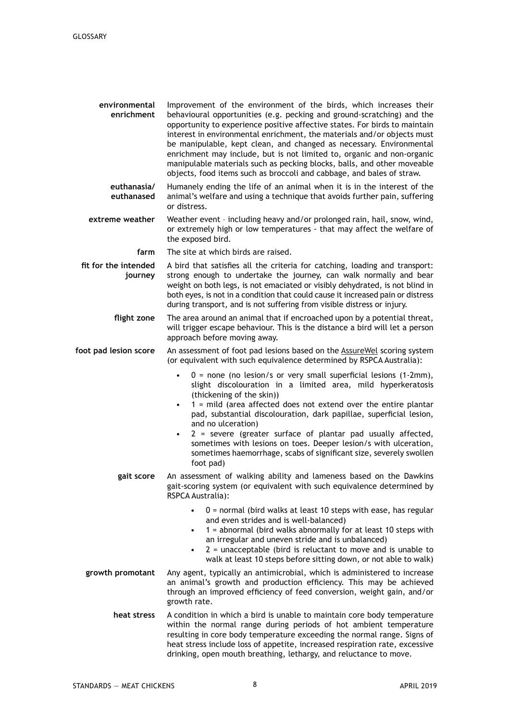| environmental<br>enrichment     | Improvement of the environment of the birds, which increases their<br>behavioural opportunities (e.g. pecking and ground-scratching) and the<br>opportunity to experience positive affective states. For birds to maintain<br>interest in environmental enrichment, the materials and/or objects must<br>be manipulable, kept clean, and changed as necessary. Environmental<br>enrichment may include, but is not limited to, organic and non-organic<br>manipulable materials such as pecking blocks, balls, and other moveable<br>objects, food items such as broccoli and cabbage, and bales of straw. |
|---------------------------------|------------------------------------------------------------------------------------------------------------------------------------------------------------------------------------------------------------------------------------------------------------------------------------------------------------------------------------------------------------------------------------------------------------------------------------------------------------------------------------------------------------------------------------------------------------------------------------------------------------|
| euthanasia/<br>euthanased       | Humanely ending the life of an animal when it is in the interest of the<br>animal's welfare and using a technique that avoids further pain, suffering<br>or distress.                                                                                                                                                                                                                                                                                                                                                                                                                                      |
| extreme weather                 | Weather event - including heavy and/or prolonged rain, hail, snow, wind,<br>or extremely high or low temperatures - that may affect the welfare of<br>the exposed bird.                                                                                                                                                                                                                                                                                                                                                                                                                                    |
| farm                            | The site at which birds are raised.                                                                                                                                                                                                                                                                                                                                                                                                                                                                                                                                                                        |
| fit for the intended<br>journey | A bird that satisfies all the criteria for catching, loading and transport:<br>strong enough to undertake the journey, can walk normally and bear<br>weight on both legs, is not emaciated or visibly dehydrated, is not blind in<br>both eyes, is not in a condition that could cause it increased pain or distress<br>during transport, and is not suffering from visible distress or injury.                                                                                                                                                                                                            |
| flight zone                     | The area around an animal that if encroached upon by a potential threat,<br>will trigger escape behaviour. This is the distance a bird will let a person<br>approach before moving away.                                                                                                                                                                                                                                                                                                                                                                                                                   |
| foot pad lesion score           | An assessment of foot pad lesions based on the <b>AssureWel scoring system</b><br>(or equivalent with such equivalence determined by RSPCA Australia):                                                                                                                                                                                                                                                                                                                                                                                                                                                     |
|                                 | $0 =$ none (no lesion/s or very small superficial lesions (1-2mm),<br>$\bullet$<br>slight discolouration in a limited area, mild hyperkeratosis<br>(thickening of the skin))<br>$1$ = mild (area affected does not extend over the entire plantar<br>٠<br>pad, substantial discolouration, dark papillae, superficial lesion,<br>and no ulceration)<br>2 = severe (greater surface of plantar pad usually affected,<br>$\bullet$<br>sometimes with lesions on toes. Deeper lesion/s with ulceration,<br>sometimes haemorrhage, scabs of significant size, severely swollen<br>foot pad)                    |
| gait score                      | An assessment of walking ability and lameness based on the Dawkins<br>gait-scoring system (or equivalent with such equivalence determined by<br>RSPCA Australia):                                                                                                                                                                                                                                                                                                                                                                                                                                          |
|                                 | $0$ = normal (bird walks at least 10 steps with ease, has regular<br>and even strides and is well-balanced)<br>1 = abnormal (bird walks abnormally for at least 10 steps with<br>$\bullet$<br>an irregular and uneven stride and is unbalanced)<br>$2$ = unacceptable (bird is reluctant to move and is unable to<br>$\bullet$<br>walk at least 10 steps before sitting down, or not able to walk)                                                                                                                                                                                                         |
| growth promotant                | Any agent, typically an antimicrobial, which is administered to increase<br>an animal's growth and production efficiency. This may be achieved<br>through an improved efficiency of feed conversion, weight gain, and/or<br>growth rate.                                                                                                                                                                                                                                                                                                                                                                   |
| heat stress                     | A condition in which a bird is unable to maintain core body temperature<br>within the normal range during periods of hot ambient temperature<br>resulting in core body temperature exceeding the normal range. Signs of<br>heat stress include loss of appetite, increased respiration rate, excessive<br>drinking, open mouth breathing, lethargy, and reluctance to move.                                                                                                                                                                                                                                |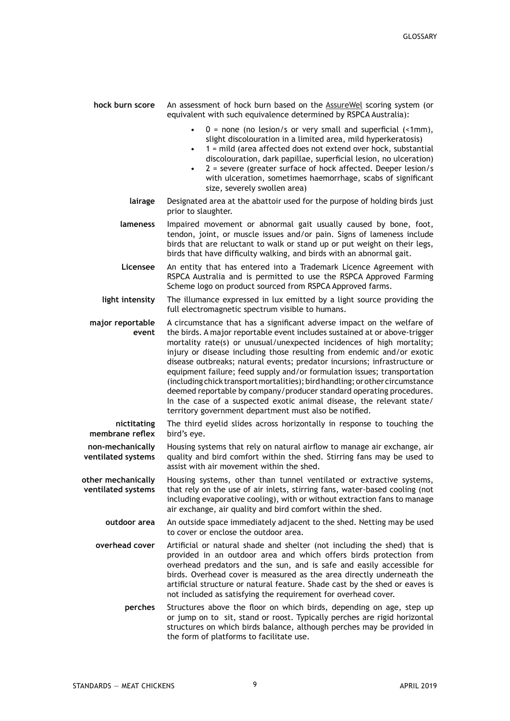| hock burn score                          | An assessment of hock burn based on the AssureWel scoring system (or<br>equivalent with such equivalence determined by RSPCA Australia):                                                                                                                                                                                                                                                                                                                                                                                                                                                                                                                                                                                                                     |
|------------------------------------------|--------------------------------------------------------------------------------------------------------------------------------------------------------------------------------------------------------------------------------------------------------------------------------------------------------------------------------------------------------------------------------------------------------------------------------------------------------------------------------------------------------------------------------------------------------------------------------------------------------------------------------------------------------------------------------------------------------------------------------------------------------------|
|                                          | $0 =$ none (no lesion/s or very small and superficial (<1mm),<br>$\bullet$<br>slight discolouration in a limited area, mild hyperkeratosis)<br>1 = mild (area affected does not extend over hock, substantial<br>discolouration, dark papillae, superficial lesion, no ulceration)<br>2 = severe (greater surface of hock affected. Deeper lesion/s<br>with ulceration, sometimes haemorrhage, scabs of significant<br>size, severely swollen area)                                                                                                                                                                                                                                                                                                          |
| lairage                                  | Designated area at the abattoir used for the purpose of holding birds just<br>prior to slaughter.                                                                                                                                                                                                                                                                                                                                                                                                                                                                                                                                                                                                                                                            |
| lameness                                 | Impaired movement or abnormal gait usually caused by bone, foot,<br>tendon, joint, or muscle issues and/or pain. Signs of lameness include<br>birds that are reluctant to walk or stand up or put weight on their legs,<br>birds that have difficulty walking, and birds with an abnormal gait.                                                                                                                                                                                                                                                                                                                                                                                                                                                              |
| Licensee                                 | An entity that has entered into a Trademark Licence Agreement with<br>RSPCA Australia and is permitted to use the RSPCA Approved Farming<br>Scheme logo on product sourced from RSPCA Approved farms.                                                                                                                                                                                                                                                                                                                                                                                                                                                                                                                                                        |
| light intensity                          | The illumance expressed in lux emitted by a light source providing the<br>full electromagnetic spectrum visible to humans.                                                                                                                                                                                                                                                                                                                                                                                                                                                                                                                                                                                                                                   |
| major reportable<br>event                | A circumstance that has a significant adverse impact on the welfare of<br>the birds. A major reportable event includes sustained at or above-trigger<br>mortality rate(s) or unusual/unexpected incidences of high mortality;<br>injury or disease including those resulting from endemic and/or exotic<br>disease outbreaks; natural events; predator incursions; infrastructure or<br>equipment failure; feed supply and/or formulation issues; transportation<br>(including chick transport mortalities); bird handling; or other circumstance<br>deemed reportable by company/producer standard operating procedures.<br>In the case of a suspected exotic animal disease, the relevant state/<br>territory government department must also be notified. |
| nictitating<br>membrane reflex           | The third eyelid slides across horizontally in response to touching the<br>bird's eye.                                                                                                                                                                                                                                                                                                                                                                                                                                                                                                                                                                                                                                                                       |
| non-mechanically<br>ventilated systems   | Housing systems that rely on natural airflow to manage air exchange, air<br>quality and bird comfort within the shed. Stirring fans may be used to<br>assist with air movement within the shed.                                                                                                                                                                                                                                                                                                                                                                                                                                                                                                                                                              |
| other mechanically<br>ventilated systems | Housing systems, other than tunnel ventilated or extractive systems,<br>that rely on the use of air inlets, stirring fans, water-based cooling (not<br>including evaporative cooling), with or without extraction fans to manage<br>air exchange, air quality and bird comfort within the shed.                                                                                                                                                                                                                                                                                                                                                                                                                                                              |
| outdoor area                             | An outside space immediately adjacent to the shed. Netting may be used<br>to cover or enclose the outdoor area.                                                                                                                                                                                                                                                                                                                                                                                                                                                                                                                                                                                                                                              |
| overhead cover                           | Artificial or natural shade and shelter (not including the shed) that is<br>provided in an outdoor area and which offers birds protection from<br>overhead predators and the sun, and is safe and easily accessible for<br>birds. Overhead cover is measured as the area directly underneath the<br>artificial structure or natural feature. Shade cast by the shed or eaves is<br>not included as satisfying the requirement for overhead cover.                                                                                                                                                                                                                                                                                                            |
| perches                                  | Structures above the floor on which birds, depending on age, step up<br>or jump on to sit, stand or roost. Typically perches are rigid horizontal<br>structures on which birds balance, although perches may be provided in<br>the form of platforms to facilitate use.                                                                                                                                                                                                                                                                                                                                                                                                                                                                                      |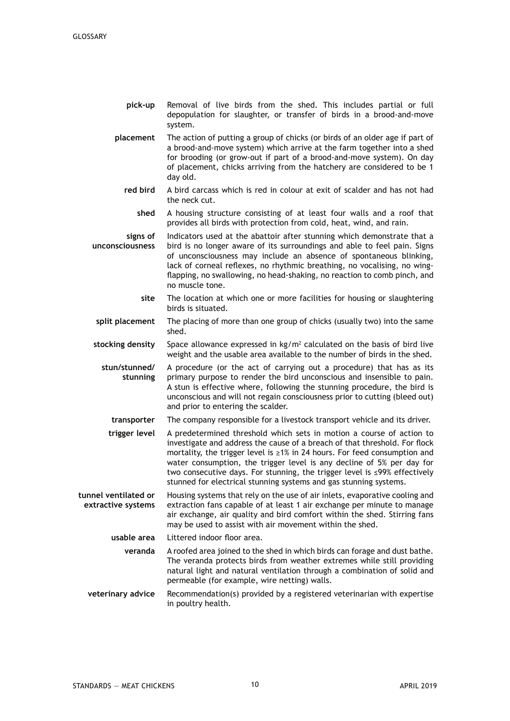- **pick-up** Removal of live birds from the shed. This includes partial or full depopulation for slaughter, or transfer of birds in a brood-and-move system.
- **placement** The action of putting a group of chicks (or birds of an older age if part of a brood-and-move system) which arrive at the farm together into a shed for brooding (or grow-out if part of a brood-and-move system). On day of placement, chicks arriving from the hatchery are considered to be 1 day old.
	- **red bird** A bird carcass which is red in colour at exit of scalder and has not had the neck cut.
		- **shed** A housing structure consisting of at least four walls and a roof that provides all birds with protection from cold, heat, wind, and rain.

**signs of unconsciousness** Indicators used at the abattoir after stunning which demonstrate that a bird is no longer aware of its surroundings and able to feel pain. Signs of unconsciousness may include an absence of spontaneous blinking, lack of corneal reflexes, no rhythmic breathing, no vocalising, no wingflapping, no swallowing, no head-shaking, no reaction to comb pinch, and no muscle tone.

- **site** The location at which one or more facilities for housing or slaughtering birds is situated.
- **split placement** The placing of more than one group of chicks (usually two) into the same shed.
- stocking density Space allowance expressed in kg/m<sup>2</sup> calculated on the basis of bird live weight and the usable area available to the number of birds in the shed.

**stun/stunned/ stunning** A procedure (or the act of carrying out a procedure) that has as its primary purpose to render the bird unconscious and insensible to pain. A stun is effective where, following the stunning procedure, the bird is unconscious and will not regain consciousness prior to cutting (bleed out) and prior to entering the scalder.

**transporter** The company responsible for a livestock transport vehicle and its driver.

**trigger level** A predetermined threshold which sets in motion a course of action to investigate and address the cause of a breach of that threshold. For flock mortality, the trigger level is ≥1% in 24 hours. For feed consumption and water consumption, the trigger level is any decline of 5% per day for two consecutive days. For stunning, the trigger level is ≤99% effectively stunned for electrical stunning systems and gas stunning systems.

**tunnel ventilated or extractive systems** Housing systems that rely on the use of air inlets, evaporative cooling and extraction fans capable of at least 1 air exchange per minute to manage air exchange, air quality and bird comfort within the shed. Stirring fans may be used to assist with air movement within the shed.

- **usable area** Littered indoor floor area.
- **veranda** A roofed area joined to the shed in which birds can forage and dust bathe. The veranda protects birds from weather extremes while still providing natural light and natural ventilation through a combination of solid and permeable (for example, wire netting) walls.
- **veterinary advice** Recommendation(s) provided by a registered veterinarian with expertise in poultry health.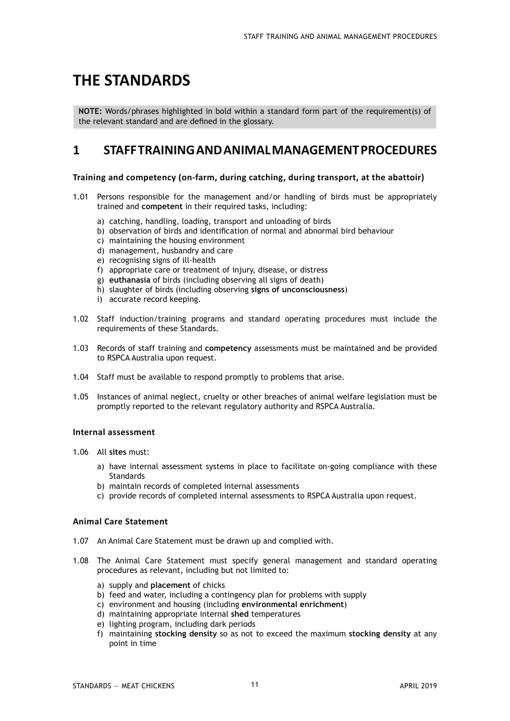# **THE STANDARDS**

**NOTE:** Words/phrases highlighted in bold within a standard form part of the requirement(s) of the relevant standard and are defined in the glossary.

### **1 STAFF TRAINING AND ANIMAL MANAGEMENT PROCEDURES**

#### **Training and competency (on-farm, during catching, during transport, at the abattoir)**

- 1.01 Persons responsible for the management and/or handling of birds must be appropriately trained and **competent** in their required tasks, including:
	- a) catching, handling, loading, transport and unloading of birds
	- b) observation of birds and identification of normal and abnormal bird behaviour
	- c) maintaining the housing environment
	- d) management, husbandry and care
	- e) recognising signs of ill-health
	- f) appropriate care or treatment of injury, disease, or distress
	- g) **euthanasia** of birds (including observing all signs of death)
	- h) slaughter of birds (including observing **signs of unconsciousness**)
	- i) accurate record keeping.
- 1.02 Staff induction/training programs and standard operating procedures must include the requirements of these Standards.
- 1.03 Records of staff training and **competency** assessments must be maintained and be provided to RSPCA Australia upon request.
- 1.04 Staff must be available to respond promptly to problems that arise.
- 1.05 Instances of animal neglect, cruelty or other breaches of animal welfare legislation must be promptly reported to the relevant regulatory authority and RSPCA Australia.

#### **Internal assessment**

- 1.06 All **sites** must:
	- a) have internal assessment systems in place to facilitate on-going compliance with these **Standards**
	- b) maintain records of completed internal assessments
	- c) provide records of completed internal assessments to RSPCA Australia upon request.

#### **Animal Care Statement**

- 1.07 An Animal Care Statement must be drawn up and complied with.
- 1.08 The Animal Care Statement must specify general management and standard operating procedures as relevant, including but not limited to:
	- a) supply and **placement** of chicks
	- b) feed and water, including a contingency plan for problems with supply
	- c) environment and housing (including **environmental enrichment**)
	- d) maintaining appropriate internal **shed** temperatures
	- e) lighting program, including dark periods
	- f) maintaining **stocking density** so as not to exceed the maximum **stocking density** at any point in time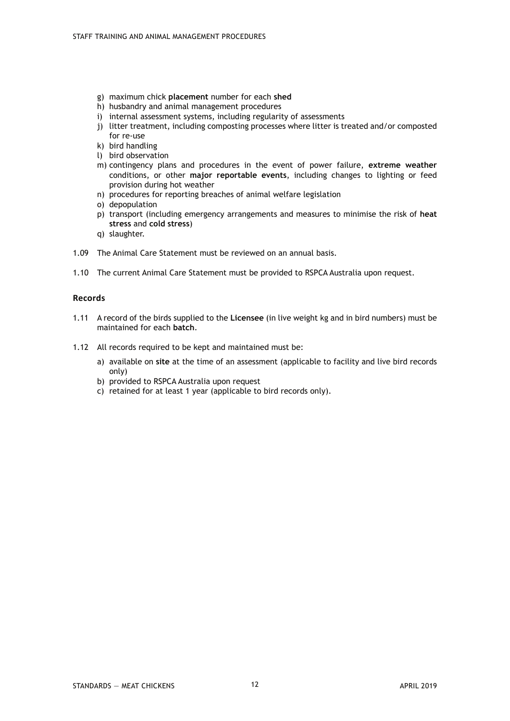- g) maximum chick **placement** number for each **shed**
- h) husbandry and animal management procedures
- i) internal assessment systems, including regularity of assessments
- j) litter treatment, including composting processes where litter is treated and/or composted for re-use
- k) bird handling
- l) bird observation
- m) contingency plans and procedures in the event of power failure, **extreme weather** conditions, or other **major reportable events**, including changes to lighting or feed provision during hot weather
- n) procedures for reporting breaches of animal welfare legislation
- o) depopulation
- p) transport (including emergency arrangements and measures to minimise the risk of **heat stress** and **cold stress**)
- q) slaughter.
- 1.09 The Animal Care Statement must be reviewed on an annual basis.
- 1.10 The current Animal Care Statement must be provided to RSPCA Australia upon request.

#### **Records**

- 1.11 A record of the birds supplied to the **Licensee** (in live weight kg and in bird numbers) must be maintained for each **batch**.
- 1.12 All records required to be kept and maintained must be:
	- a) available on **site** at the time of an assessment (applicable to facility and live bird records only)
	- b) provided to RSPCA Australia upon request
	- c) retained for at least 1 year (applicable to bird records only).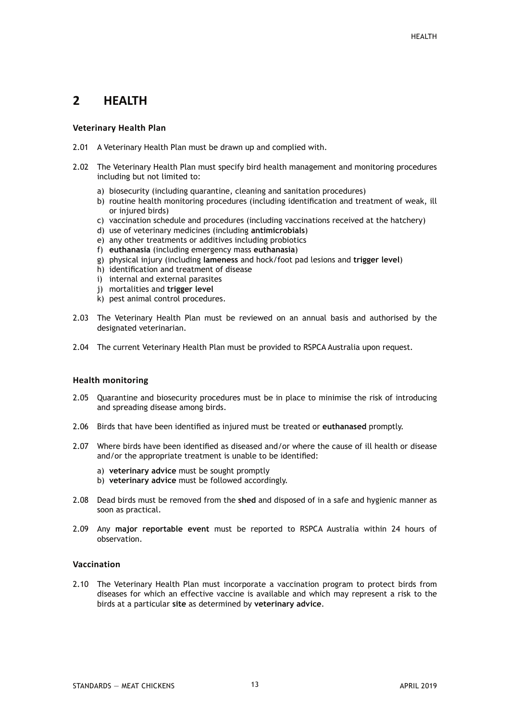## **2 HEALTH**

#### **Veterinary Health Plan**

- 2.01 A Veterinary Health Plan must be drawn up and complied with.
- 2.02 The Veterinary Health Plan must specify bird health management and monitoring procedures including but not limited to:
	- a) biosecurity (including quarantine, cleaning and sanitation procedures)
	- b) routine health monitoring procedures (including identification and treatment of weak, ill or injured birds)
	- c) vaccination schedule and procedures (including vaccinations received at the hatchery)
	- d) use of veterinary medicines (including **antimicrobials**)
	- e) any other treatments or additives including probiotics
	- f) **euthanasia** (including emergency mass **euthanasia**)
	- g) physical injury (including **lameness** and hock/foot pad lesions and **trigger level**)
	- h) identification and treatment of disease
	- i) internal and external parasites
	- j) mortalities and **trigger level**
	- k) pest animal control procedures.
- 2.03 The Veterinary Health Plan must be reviewed on an annual basis and authorised by the designated veterinarian.
- 2.04 The current Veterinary Health Plan must be provided to RSPCA Australia upon request.

#### **Health monitoring**

- 2.05 Quarantine and biosecurity procedures must be in place to minimise the risk of introducing and spreading disease among birds.
- 2.06 Birds that have been identified as injured must be treated or **euthanased** promptly.
- 2.07 Where birds have been identified as diseased and/or where the cause of ill health or disease and/or the appropriate treatment is unable to be identified:
	- a) **veterinary advice** must be sought promptly
	- b) **veterinary advice** must be followed accordingly.
- 2.08 Dead birds must be removed from the **shed** and disposed of in a safe and hygienic manner as soon as practical.
- 2.09 Any **major reportable event** must be reported to RSPCA Australia within 24 hours of observation.

#### **Vaccination**

2.10 The Veterinary Health Plan must incorporate a vaccination program to protect birds from diseases for which an effective vaccine is available and which may represent a risk to the birds at a particular **site** as determined by **veterinary advice**.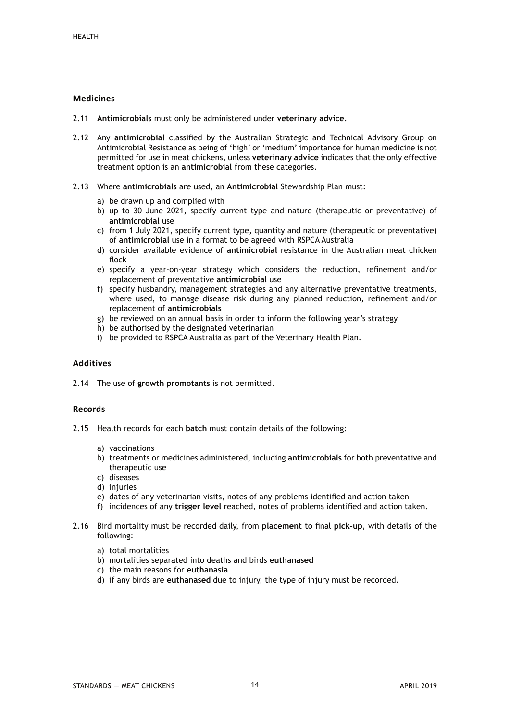#### **Medicines**

- 2.11 **Antimicrobials** must only be administered under **veterinary advice**.
- 2.12 Any **antimicrobial** classified by the Australian Strategic and Technical Advisory Group on Antimicrobial Resistance as being of 'high' or 'medium' importance for human medicine is not permitted for use in meat chickens, unless **veterinary advice** indicates that the only effective treatment option is an **antimicrobial** from these categories.
- 2.13 Where **antimicrobials** are used, an **Antimicrobial** Stewardship Plan must:
	- a) be drawn up and complied with
	- b) up to 30 June 2021, specify current type and nature (therapeutic or preventative) of **antimicrobial** use
	- c) from 1 July 2021, specify current type, quantity and nature (therapeutic or preventative) of **antimicrobial** use in a format to be agreed with RSPCA Australia
	- d) consider available evidence of **antimicrobial** resistance in the Australian meat chicken flock
	- e) specify a year-on-year strategy which considers the reduction, refinement and/or replacement of preventative **antimicrobial** use
	- f) specify husbandry, management strategies and any alternative preventative treatments, where used, to manage disease risk during any planned reduction, refinement and/or replacement of **antimicrobials**
	- g) be reviewed on an annual basis in order to inform the following year's strategy
	- h) be authorised by the designated veterinarian
	- i) be provided to RSPCA Australia as part of the Veterinary Health Plan.

#### **Additives**

2.14 The use of **growth promotants** is not permitted.

#### **Records**

- 2.15 Health records for each **batch** must contain details of the following:
	- a) vaccinations
	- b) treatments or medicines administered, including **antimicrobials** for both preventative and therapeutic use
	- c) diseases
	- d) injuries
	- e) dates of any veterinarian visits, notes of any problems identified and action taken
	- f) incidences of any **trigger level** reached, notes of problems identified and action taken.
- 2.16 Bird mortality must be recorded daily, from **placement** to final **pick-up**, with details of the following:
	- a) total mortalities
	- b) mortalities separated into deaths and birds **euthanased**
	- c) the main reasons for **euthanasia**
	- d) if any birds are **euthanased** due to injury, the type of injury must be recorded.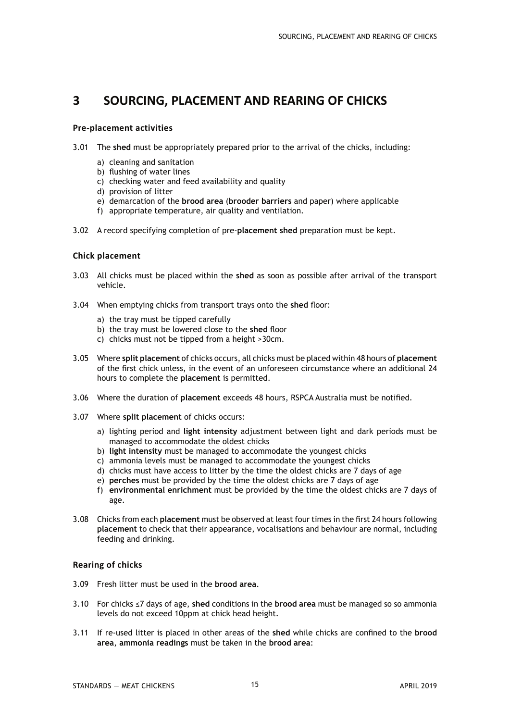## **3 SOURCING, PLACEMENT AND REARING OF CHICKS**

#### **Pre-placement activities**

- 3.01 The **shed** must be appropriately prepared prior to the arrival of the chicks, including:
	- a) cleaning and sanitation
	- b) flushing of water lines
	- c) checking water and feed availability and quality
	- d) provision of litter
	- e) demarcation of the **brood area** (**brooder barriers** and paper) where applicable
	- f) appropriate temperature, air quality and ventilation.
- 3.02 A record specifying completion of pre-**placement shed** preparation must be kept.

#### **Chick placement**

- 3.03 All chicks must be placed within the **shed** as soon as possible after arrival of the transport vehicle.
- 3.04 When emptying chicks from transport trays onto the **shed** floor:
	- a) the tray must be tipped carefully
	- b) the tray must be lowered close to the **shed** floor
	- c) chicks must not be tipped from a height >30cm.
- 3.05 Where **split placement** of chicks occurs, all chicks must be placed within 48 hours of **placement** of the first chick unless, in the event of an unforeseen circumstance where an additional 24 hours to complete the **placement** is permitted.
- 3.06 Where the duration of **placement** exceeds 48 hours, RSPCA Australia must be notified.
- 3.07 Where **split placement** of chicks occurs:
	- a) lighting period and **light intensity** adjustment between light and dark periods must be managed to accommodate the oldest chicks
	- b) **light intensity** must be managed to accommodate the youngest chicks
	- c) ammonia levels must be managed to accommodate the youngest chicks
	- d) chicks must have access to litter by the time the oldest chicks are 7 days of age
	- e) **perches** must be provided by the time the oldest chicks are 7 days of age
	- f) **environmental enrichment** must be provided by the time the oldest chicks are 7 days of age.
- 3.08 Chicks from each **placement** must be observed at least four times in the first 24 hours following **placement** to check that their appearance, vocalisations and behaviour are normal, including feeding and drinking.

#### **Rearing of chicks**

- 3.09 Fresh litter must be used in the **brood area**.
- 3.10 For chicks ≤7 days of age, **shed** conditions in the **brood area** must be managed so so ammonia levels do not exceed 10ppm at chick head height.
- 3.11 If re-used litter is placed in other areas of the **shed** while chicks are confined to the **brood area**, **ammonia readings** must be taken in the **brood area**: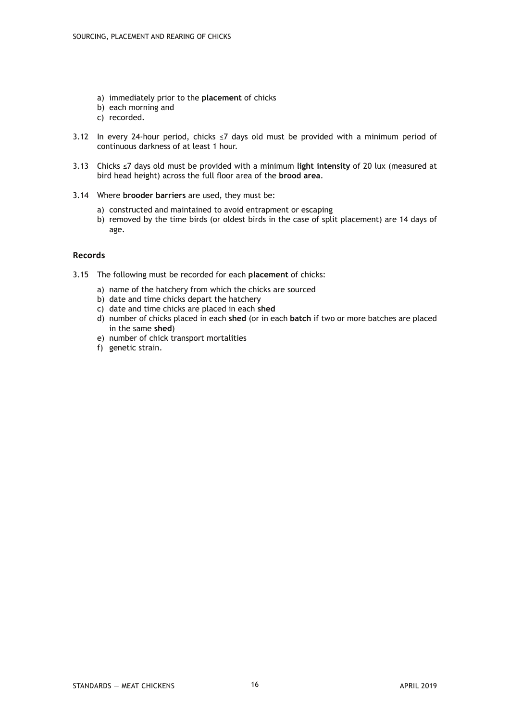- a) immediately prior to the **placement** of chicks
- b) each morning and
- c) recorded.
- 3.12 In every 24-hour period, chicks ≤7 days old must be provided with a minimum period of continuous darkness of at least 1 hour.
- 3.13 Chicks ≤7 days old must be provided with a minimum **light intensity** of 20 lux (measured at bird head height) across the full floor area of the **brood area**.
- 3.14 Where **brooder barriers** are used, they must be:
	- a) constructed and maintained to avoid entrapment or escaping
	- b) removed by the time birds (or oldest birds in the case of split placement) are 14 days of age.

#### **Records**

- 3.15 The following must be recorded for each **placement** of chicks:
	- a) name of the hatchery from which the chicks are sourced
	- b) date and time chicks depart the hatchery
	- c) date and time chicks are placed in each **shed**
	- d) number of chicks placed in each **shed** (or in each **batch** if two or more batches are placed in the same **shed**)
	- e) number of chick transport mortalities
	- f) genetic strain.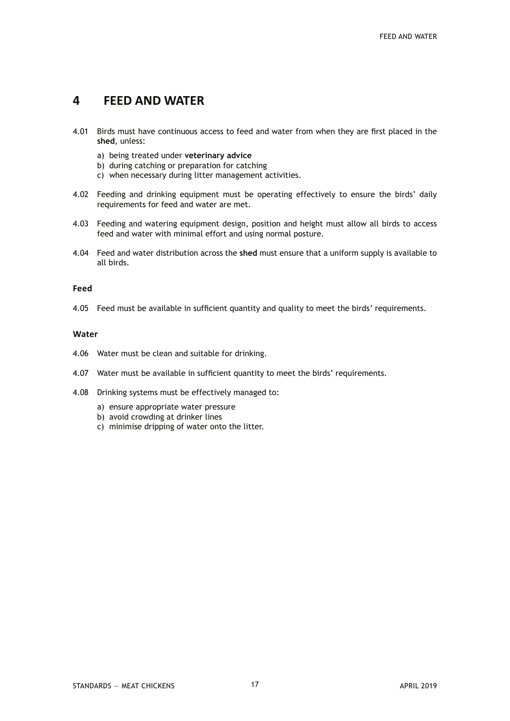## **4 FEED AND WATER**

- 4.01 Birds must have continuous access to feed and water from when they are first placed in the **shed**, unless:
	- a) being treated under **veterinary advice**
	- b) during catching or preparation for catching
	- c) when necessary during litter management activities.
- 4.02 Feeding and drinking equipment must be operating effectively to ensure the birds' daily requirements for feed and water are met.
- 4.03 Feeding and watering equipment design, position and height must allow all birds to access feed and water with minimal effort and using normal posture.
- 4.04 Feed and water distribution across the **shed** must ensure that a uniform supply is available to all birds.

#### **Feed**

4.05 Feed must be available in sufficient quantity and quality to meet the birds' requirements.

#### **Water**

- 4.06 Water must be clean and suitable for drinking.
- 4.07 Water must be available in sufficient quantity to meet the birds' requirements.
- 4.08 Drinking systems must be effectively managed to:
	- a) ensure appropriate water pressure
	- b) avoid crowding at drinker lines
	- c) minimise dripping of water onto the litter.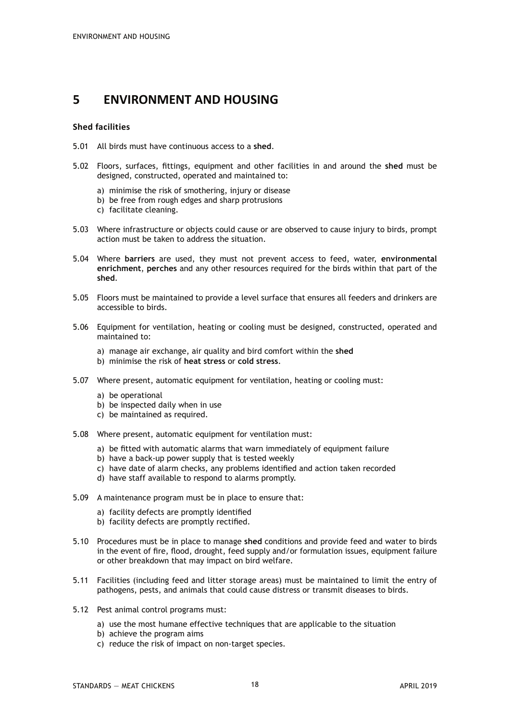## **5 ENVIRONMENT AND HOUSING**

#### **Shed facilities**

- 5.01 All birds must have continuous access to a **shed**.
- 5.02 Floors, surfaces, fittings, equipment and other facilities in and around the **shed** must be designed, constructed, operated and maintained to:
	- a) minimise the risk of smothering, injury or disease
	- b) be free from rough edges and sharp protrusions
	- c) facilitate cleaning.
- 5.03 Where infrastructure or objects could cause or are observed to cause injury to birds, prompt action must be taken to address the situation.
- 5.04 Where **barriers** are used, they must not prevent access to feed, water, **environmental enrichment**, **perches** and any other resources required for the birds within that part of the **shed**.
- 5.05 Floors must be maintained to provide a level surface that ensures all feeders and drinkers are accessible to birds.
- 5.06 Equipment for ventilation, heating or cooling must be designed, constructed, operated and maintained to:
	- a) manage air exchange, air quality and bird comfort within the **shed**
	- b) minimise the risk of **heat stress** or **cold stress**.
- 5.07 Where present, automatic equipment for ventilation, heating or cooling must:
	- a) be operational
	- b) be inspected daily when in use
	- c) be maintained as required.
- 5.08 Where present, automatic equipment for ventilation must:
	- a) be fitted with automatic alarms that warn immediately of equipment failure
	- b) have a back-up power supply that is tested weekly
	- c) have date of alarm checks, any problems identified and action taken recorded
	- d) have staff available to respond to alarms promptly.
- 5.09 A maintenance program must be in place to ensure that:
	- a) facility defects are promptly identified
	- b) facility defects are promptly rectified.
- 5.10 Procedures must be in place to manage **shed** conditions and provide feed and water to birds in the event of fire, flood, drought, feed supply and/or formulation issues, equipment failure or other breakdown that may impact on bird welfare.
- 5.11 Facilities (including feed and litter storage areas) must be maintained to limit the entry of pathogens, pests, and animals that could cause distress or transmit diseases to birds.
- 5.12 Pest animal control programs must:
	- a) use the most humane effective techniques that are applicable to the situation
	- b) achieve the program aims
	- c) reduce the risk of impact on non-target species.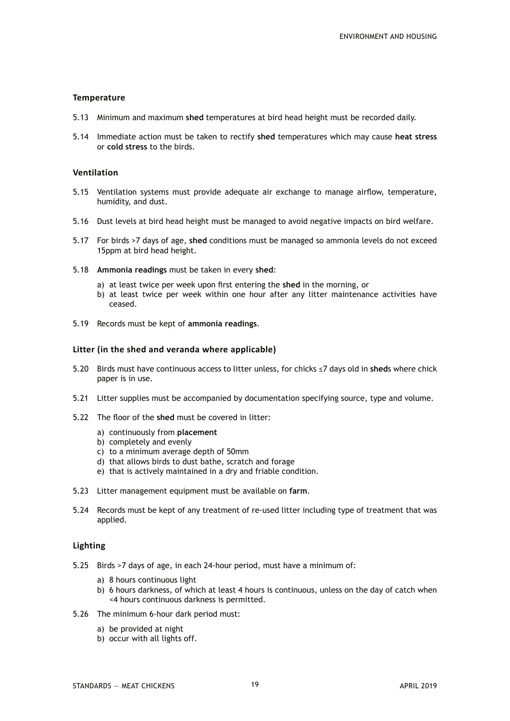#### **Temperature**

- 5.13 Minimum and maximum **shed** temperatures at bird head height must be recorded daily.
- 5.14 Immediate action must be taken to rectify **shed** temperatures which may cause **heat stress** or **cold stress** to the birds.

#### **Ventilation**

- 5.15 Ventilation systems must provide adequate air exchange to manage airflow, temperature, humidity, and dust.
- 5.16 Dust levels at bird head height must be managed to avoid negative impacts on bird welfare.
- 5.17 For birds >7 days of age, **shed** conditions must be managed so ammonia levels do not exceed 15ppm at bird head height.
- 5.18 **Ammonia readings** must be taken in every **shed**:
	- a) at least twice per week upon first entering the **shed** in the morning, or
	- b) at least twice per week within one hour after any litter maintenance activities have ceased.
- 5.19 Records must be kept of **ammonia readings**.

#### **Litter (in the shed and veranda where applicable)**

- 5.20 Birds must have continuous access to litter unless, for chicks ≤7 days old in **shed**s where chick paper is in use.
- 5.21 Litter supplies must be accompanied by documentation specifying source, type and volume.
- 5.22 The floor of the **shed** must be covered in litter:
	- a) continuously from **placement**
	- b) completely and evenly
	- c) to a minimum average depth of 50mm
	- d) that allows birds to dust bathe, scratch and forage
	- e) that is actively maintained in a dry and friable condition.
- 5.23 Litter management equipment must be available on **farm**.
- 5.24 Records must be kept of any treatment of re-used litter including type of treatment that was applied.

#### **Lighting**

- 5.25 Birds >7 days of age, in each 24-hour period, must have a minimum of:
	- a) 8 hours continuous light
	- b) 6 hours darkness, of which at least 4 hours is continuous, unless on the day of catch when <4 hours continuous darkness is permitted.
- 5.26 The minimum 6-hour dark period must:
	- a) be provided at night
	- b) occur with all lights off.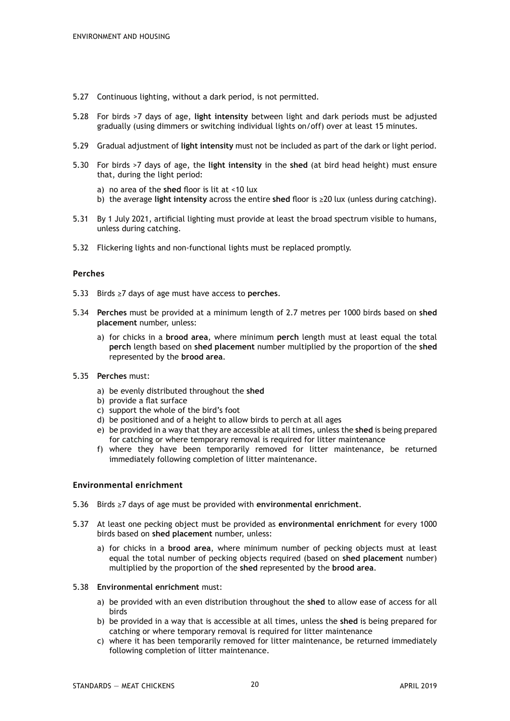- 5.27 Continuous lighting, without a dark period, is not permitted.
- 5.28 For birds >7 days of age, **light intensity** between light and dark periods must be adjusted gradually (using dimmers or switching individual lights on/off) over at least 15 minutes.
- 5.29 Gradual adjustment of **light intensity** must not be included as part of the dark or light period.
- 5.30 For birds >7 days of age, the **light intensity** in the **shed** (at bird head height) must ensure that, during the light period:
	- a) no area of the **shed** floor is lit at <10 lux
	- b) the average **light intensity** across the entire **shed** floor is ≥20 lux (unless during catching).
- 5.31 By 1 July 2021, artificial lighting must provide at least the broad spectrum visible to humans, unless during catching.
- 5.32 Flickering lights and non-functional lights must be replaced promptly.

#### **Perches**

- 5.33 Birds ≥7 days of age must have access to **perches**.
- 5.34 **Perches** must be provided at a minimum length of 2.7 metres per 1000 birds based on **shed placement** number, unless:
	- a) for chicks in a **brood area**, where minimum **perch** length must at least equal the total **perch** length based on **shed placement** number multiplied by the proportion of the **shed** represented by the **brood area**.
- 5.35 **Perches** must:
	- a) be evenly distributed throughout the **shed**
	- b) provide a flat surface
	- c) support the whole of the bird's foot
	- d) be positioned and of a height to allow birds to perch at all ages
	- e) be provided in a way that they are accessible at all times, unless the **shed** is being prepared for catching or where temporary removal is required for litter maintenance
	- f) where they have been temporarily removed for litter maintenance, be returned immediately following completion of litter maintenance.

#### **Environmental enrichment**

- 5.36 Birds ≥7 days of age must be provided with **environmental enrichment**.
- 5.37 At least one pecking object must be provided as **environmental enrichment** for every 1000 birds based on **shed placement** number, unless:
	- a) for chicks in a **brood area**, where minimum number of pecking objects must at least equal the total number of pecking objects required (based on **shed placement** number) multiplied by the proportion of the **shed** represented by the **brood area**.
- 5.38 **Environmental enrichment** must:
	- a) be provided with an even distribution throughout the **shed** to allow ease of access for all birds
	- b) be provided in a way that is accessible at all times, unless the **shed** is being prepared for catching or where temporary removal is required for litter maintenance
	- c) where it has been temporarily removed for litter maintenance, be returned immediately following completion of litter maintenance.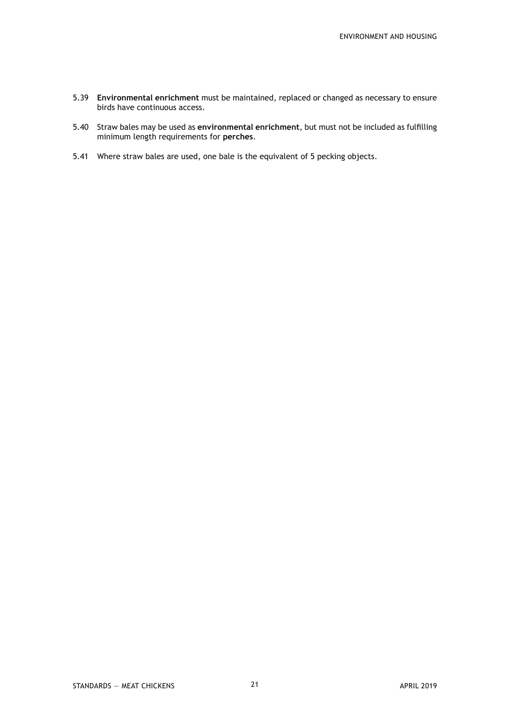- 5.39 **Environmental enrichment** must be maintained, replaced or changed as necessary to ensure birds have continuous access.
- 5.40 Straw bales may be used as **environmental enrichment**, but must not be included as fulfilling minimum length requirements for **perches**.
- 5.41 Where straw bales are used, one bale is the equivalent of 5 pecking objects.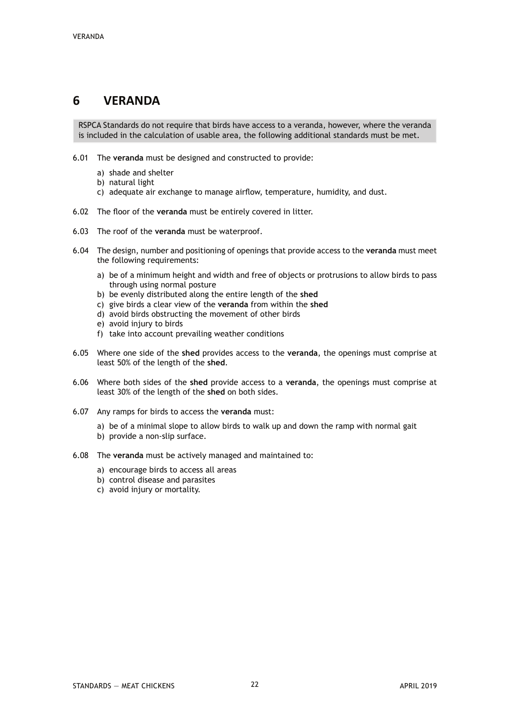## **6 VERANDA**

RSPCA Standards do not require that birds have access to a veranda, however, where the veranda is included in the calculation of usable area, the following additional standards must be met.

- 6.01 The **veranda** must be designed and constructed to provide:
	- a) shade and shelter
	- b) natural light
	- c) adequate air exchange to manage airflow, temperature, humidity, and dust.
- 6.02 The floor of the **veranda** must be entirely covered in litter.
- 6.03 The roof of the **veranda** must be waterproof.
- 6.04 The design, number and positioning of openings that provide access to the **veranda** must meet the following requirements:
	- a) be of a minimum height and width and free of objects or protrusions to allow birds to pass through using normal posture
	- b) be evenly distributed along the entire length of the **shed**
	- c) give birds a clear view of the **veranda** from within the **shed**
	- d) avoid birds obstructing the movement of other birds
	- e) avoid injury to birds
	- f) take into account prevailing weather conditions
- 6.05 Where one side of the **shed** provides access to the **veranda**, the openings must comprise at least 50% of the length of the **shed**.
- 6.06 Where both sides of the **shed** provide access to a **veranda**, the openings must comprise at least 30% of the length of the **shed** on both sides.
- 6.07 Any ramps for birds to access the **veranda** must:
	- a) be of a minimal slope to allow birds to walk up and down the ramp with normal gait
	- b) provide a non-slip surface.
- 6.08 The **veranda** must be actively managed and maintained to:
	- a) encourage birds to access all areas
	- b) control disease and parasites
	- c) avoid injury or mortality.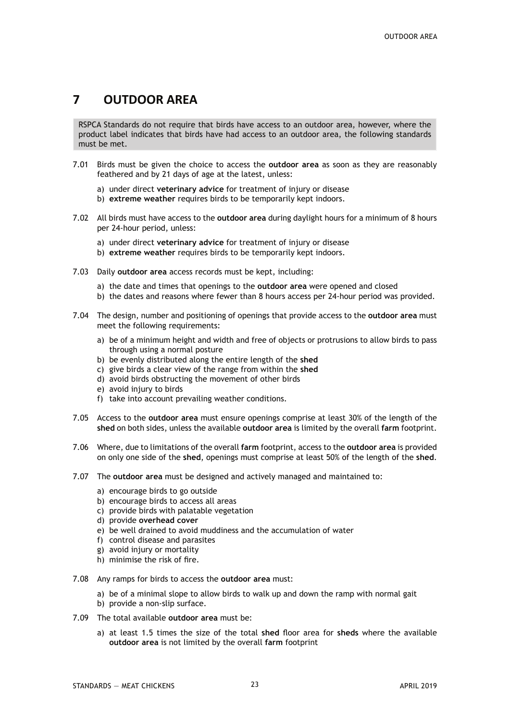## **7 OUTDOOR AREA**

RSPCA Standards do not require that birds have access to an outdoor area, however, where the product label indicates that birds have had access to an outdoor area, the following standards must be met.

- 7.01 Birds must be given the choice to access the **outdoor area** as soon as they are reasonably feathered and by 21 days of age at the latest, unless:
	- a) under direct **veterinary advice** for treatment of injury or disease
	- b) **extreme weather** requires birds to be temporarily kept indoors.
- 7.02 All birds must have access to the **outdoor area** during daylight hours for a minimum of 8 hours per 24-hour period, unless:
	- a) under direct **veterinary advice** for treatment of injury or disease
	- b) **extreme weather** requires birds to be temporarily kept indoors.
- 7.03 Daily **outdoor area** access records must be kept, including:
	- a) the date and times that openings to the **outdoor area** were opened and closed
	- b) the dates and reasons where fewer than 8 hours access per 24-hour period was provided.
- 7.04 The design, number and positioning of openings that provide access to the **outdoor area** must meet the following requirements:
	- a) be of a minimum height and width and free of objects or protrusions to allow birds to pass through using a normal posture
	- b) be evenly distributed along the entire length of the **shed**
	- c) give birds a clear view of the range from within the **shed**
	- d) avoid birds obstructing the movement of other birds
	- e) avoid injury to birds
	- f) take into account prevailing weather conditions.
- 7.05 Access to the **outdoor area** must ensure openings comprise at least 30% of the length of the **shed** on both sides, unless the available **outdoor area** is limited by the overall **farm** footprint.
- 7.06 Where, due to limitations of the overall **farm** footprint, access to the **outdoor area** is provided on only one side of the **shed**, openings must comprise at least 50% of the length of the **shed**.
- 7.07 The **outdoor area** must be designed and actively managed and maintained to:
	- a) encourage birds to go outside
	- b) encourage birds to access all areas
	- c) provide birds with palatable vegetation
	- d) provide **overhead cover**
	- e) be well drained to avoid muddiness and the accumulation of water
	- f) control disease and parasites
	- g) avoid injury or mortality
	- h) minimise the risk of fire.
- 7.08 Any ramps for birds to access the **outdoor area** must:
	- a) be of a minimal slope to allow birds to walk up and down the ramp with normal gait
	- b) provide a non-slip surface.
- 7.09 The total available **outdoor area** must be:
	- a) at least 1.5 times the size of the total **shed** floor area for **sheds** where the available **outdoor area** is not limited by the overall **farm** footprint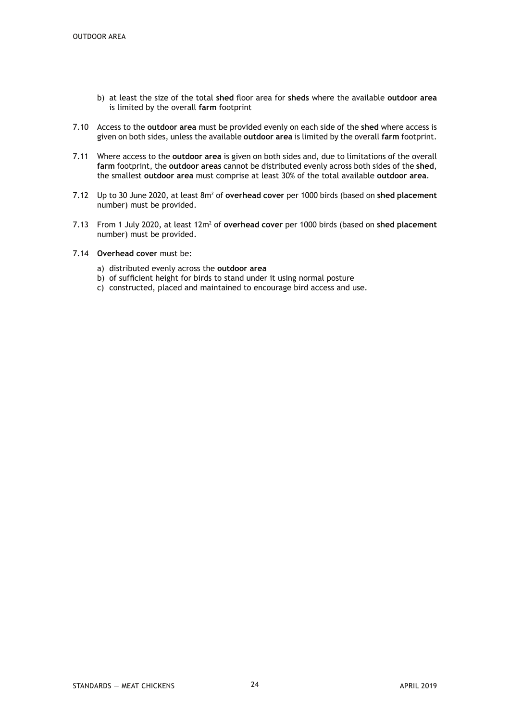- b) at least the size of the total **shed** floor area for **sheds** where the available **outdoor area** is limited by the overall **farm** footprint
- 7.10 Access to the **outdoor area** must be provided evenly on each side of the **shed** where access is given on both sides, unless the available **outdoor area** is limited by the overall **farm** footprint.
- 7.11 Where access to the **outdoor area** is given on both sides and, due to limitations of the overall **farm** footprint, the **outdoor areas** cannot be distributed evenly across both sides of the **shed**, the smallest **outdoor area** must comprise at least 30% of the total available **outdoor area**.
- 7.12 Up to 30 June 2020, at least 8m2 of **overhead cover** per 1000 birds (based on **shed placement** number) must be provided.
- 7.13 From 1 July 2020, at least 12m2 of **overhead cover** per 1000 birds (based on **shed placement** number) must be provided.
- 7.14 **Overhead cover** must be:
	- a) distributed evenly across the **outdoor area**
	- b) of sufficient height for birds to stand under it using normal posture
	- c) constructed, placed and maintained to encourage bird access and use.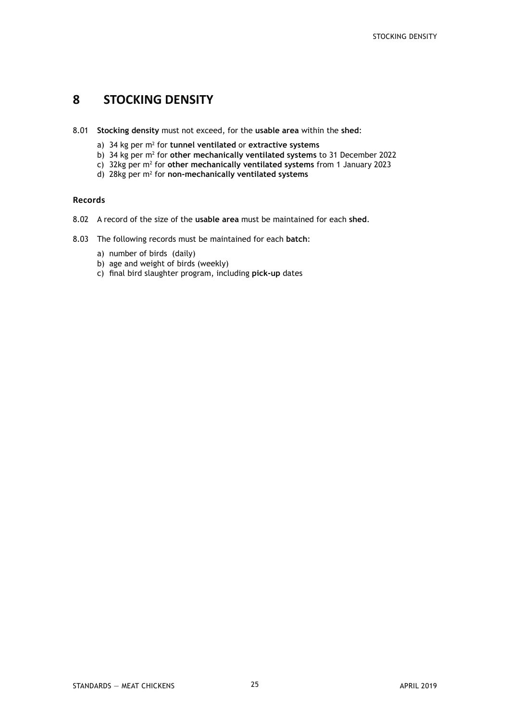## **8 STOCKING DENSITY**

- 8.01 **Stocking density** must not exceed, for the **usable area** within the **shed**:
	- a) 34 kg per m<sup>2</sup> for tunnel ventilated or extractive systems
	- b) 34 kg per m2 for **other mechanically ventilated systems** to 31 December 2022
	- c) 32kg per m<sup>2</sup> for other mechanically ventilated systems from 1 January 2023
	- d) 28kg per m2 for **non-mechanically ventilated systems**

#### **Records**

- 8.02 A record of the size of the **usable area** must be maintained for each **shed**.
- 8.03 The following records must be maintained for each **batch**:
	- a) number of birds (daily)
	- b) age and weight of birds (weekly)
	- c) final bird slaughter program, including **pick-up** dates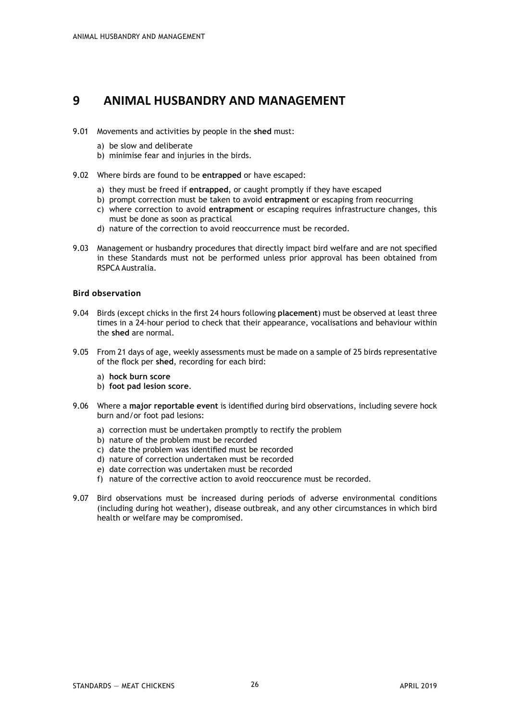## **9 ANIMAL HUSBANDRY AND MANAGEMENT**

- 9.01 Movements and activities by people in the **shed** must:
	- a) be slow and deliberate
	- b) minimise fear and injuries in the birds.
- 9.02 Where birds are found to be **entrapped** or have escaped:
	- a) they must be freed if **entrapped**, or caught promptly if they have escaped
	- b) prompt correction must be taken to avoid **entrapment** or escaping from reocurring
	- c) where correction to avoid **entrapment** or escaping requires infrastructure changes, this must be done as soon as practical
	- d) nature of the correction to avoid reoccurrence must be recorded.
- 9.03 Management or husbandry procedures that directly impact bird welfare and are not specified in these Standards must not be performed unless prior approval has been obtained from RSPCA Australia.

#### **Bird observation**

- 9.04 Birds (except chicks in the first 24 hours following **placement**) must be observed at least three times in a 24-hour period to check that their appearance, vocalisations and behaviour within the **shed** are normal.
- 9.05 From 21 days of age, weekly assessments must be made on a sample of 25 birds representative of the flock per **shed**, recording for each bird:
	- a) **hock burn score**
	- b) **foot pad lesion score**.
- 9.06 Where a **major reportable event** is identified during bird observations, including severe hock burn and/or foot pad lesions:
	- a) correction must be undertaken promptly to rectify the problem
	- b) nature of the problem must be recorded
	- c) date the problem was identified must be recorded
	- d) nature of correction undertaken must be recorded
	- e) date correction was undertaken must be recorded
	- f) nature of the corrective action to avoid reoccurence must be recorded.
- 9.07 Bird observations must be increased during periods of adverse environmental conditions (including during hot weather), disease outbreak, and any other circumstances in which bird health or welfare may be compromised.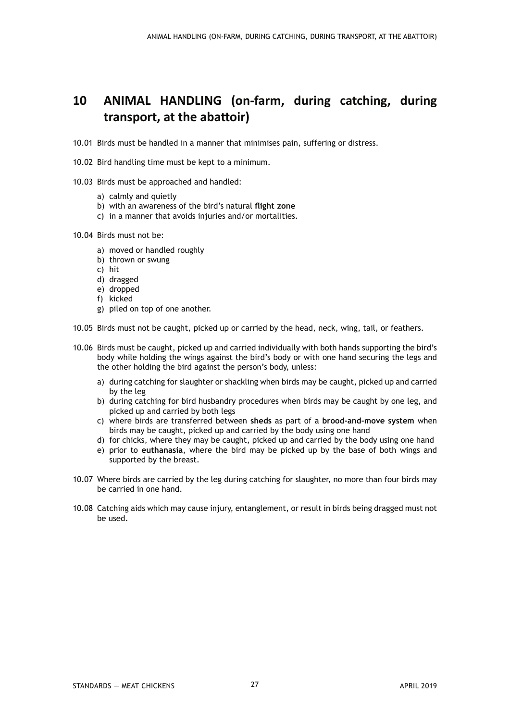## **10 ANIMAL HANDLING (on-farm, during catching, during transport, at the abattoir)**

- 10.01 Birds must be handled in a manner that minimises pain, suffering or distress.
- 10.02 Bird handling time must be kept to a minimum.
- 10.03 Birds must be approached and handled:
	- a) calmly and quietly
	- b) with an awareness of the bird's natural **flight zone**
	- c) in a manner that avoids injuries and/or mortalities.
- 10.04 Birds must not be:
	- a) moved or handled roughly
	- b) thrown or swung
	- c) hit
	- d) dragged
	- e) dropped
	- f) kicked
	- g) piled on top of one another.
- 10.05 Birds must not be caught, picked up or carried by the head, neck, wing, tail, or feathers.
- 10.06 Birds must be caught, picked up and carried individually with both hands supporting the bird's body while holding the wings against the bird's body or with one hand securing the legs and the other holding the bird against the person's body, unless:
	- a) during catching for slaughter or shackling when birds may be caught, picked up and carried by the leg
	- b) during catching for bird husbandry procedures when birds may be caught by one leg, and picked up and carried by both legs
	- c) where birds are transferred between **sheds** as part of a **brood-and-move system** when birds may be caught, picked up and carried by the body using one hand
	- d) for chicks, where they may be caught, picked up and carried by the body using one hand
	- e) prior to **euthanasia**, where the bird may be picked up by the base of both wings and supported by the breast.
- 10.07 Where birds are carried by the leg during catching for slaughter, no more than four birds may be carried in one hand.
- 10.08 Catching aids which may cause injury, entanglement, or result in birds being dragged must not be used.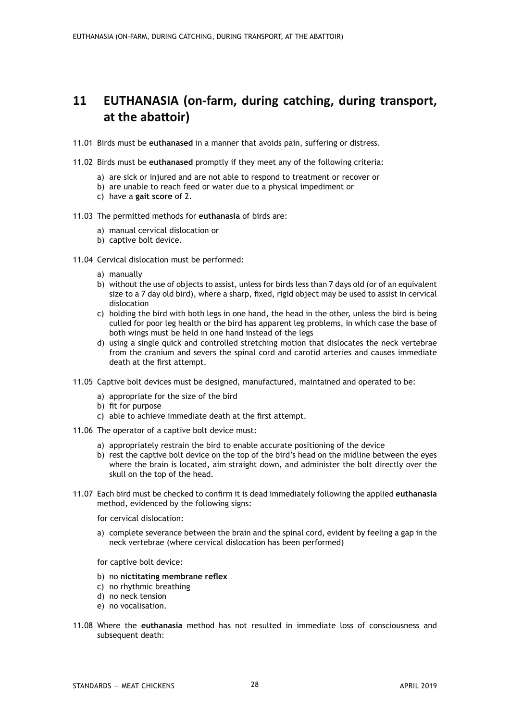## **11 EUTHANASIA (on-farm, during catching, during transport, at the abattoir)**

- 11.01 Birds must be **euthanased** in a manner that avoids pain, suffering or distress.
- 11.02 Birds must be **euthanased** promptly if they meet any of the following criteria:
	- a) are sick or injured and are not able to respond to treatment or recover or
	- b) are unable to reach feed or water due to a physical impediment or
	- c) have a **gait score** of 2.
- 11.03 The permitted methods for **euthanasia** of birds are:
	- a) manual cervical dislocation or
	- b) captive bolt device.
- 11.04 Cervical dislocation must be performed:
	- a) manually
	- b) without the use of objects to assist, unless for birds less than 7 days old (or of an equivalent size to a 7 day old bird), where a sharp, fixed, rigid object may be used to assist in cervical dislocation
	- c) holding the bird with both legs in one hand, the head in the other, unless the bird is being culled for poor leg health or the bird has apparent leg problems, in which case the base of both wings must be held in one hand instead of the legs
	- d) using a single quick and controlled stretching motion that dislocates the neck vertebrae from the cranium and severs the spinal cord and carotid arteries and causes immediate death at the first attempt.
- 11.05 Captive bolt devices must be designed, manufactured, maintained and operated to be:
	- a) appropriate for the size of the bird
	- b) fit for purpose
	- c) able to achieve immediate death at the first attempt.
- 11.06 The operator of a captive bolt device must:
	- a) appropriately restrain the bird to enable accurate positioning of the device
	- b) rest the captive bolt device on the top of the bird's head on the midline between the eyes where the brain is located, aim straight down, and administer the bolt directly over the skull on the top of the head.
- 11.07 Each bird must be checked to confirm it is dead immediately following the applied **euthanasia** method, evidenced by the following signs:
	- for cervical dislocation:
	- a) complete severance between the brain and the spinal cord, evident by feeling a gap in the neck vertebrae (where cervical dislocation has been performed)
	- for captive bolt device:
	- b) no **nictitating membrane reflex**
	- c) no rhythmic breathing
	- d) no neck tension
	- e) no vocalisation.
- 11.08 Where the **euthanasia** method has not resulted in immediate loss of consciousness and subsequent death: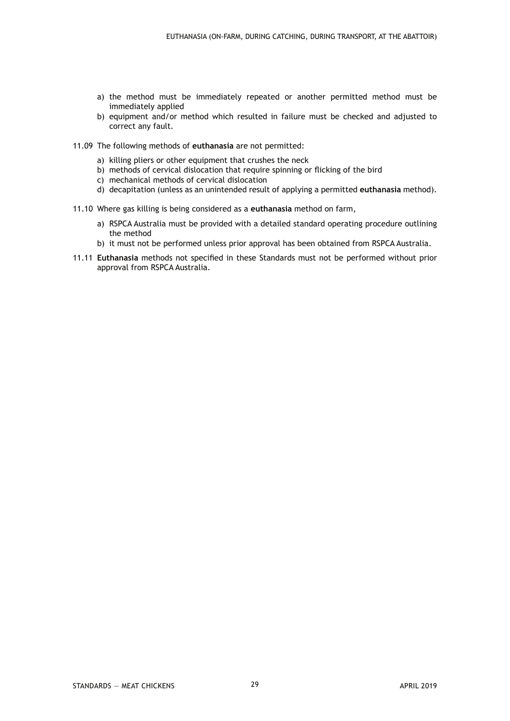- a) the method must be immediately repeated or another permitted method must be immediately applied
- b) equipment and/or method which resulted in failure must be checked and adjusted to correct any fault.
- 11.09 The following methods of **euthanasia** are not permitted:
	- a) killing pliers or other equipment that crushes the neck
	- b) methods of cervical dislocation that require spinning or flicking of the bird
	- c) mechanical methods of cervical dislocation
	- d) decapitation (unless as an unintended result of applying a permitted **euthanasia** method).
- 11.10 Where gas killing is being considered as a **euthanasia** method on farm,
	- a) RSPCA Australia must be provided with a detailed standard operating procedure outlining the method
	- b) it must not be performed unless prior approval has been obtained from RSPCA Australia.
- 11.11 **Euthanasia** methods not specified in these Standards must not be performed without prior approval from RSPCA Australia.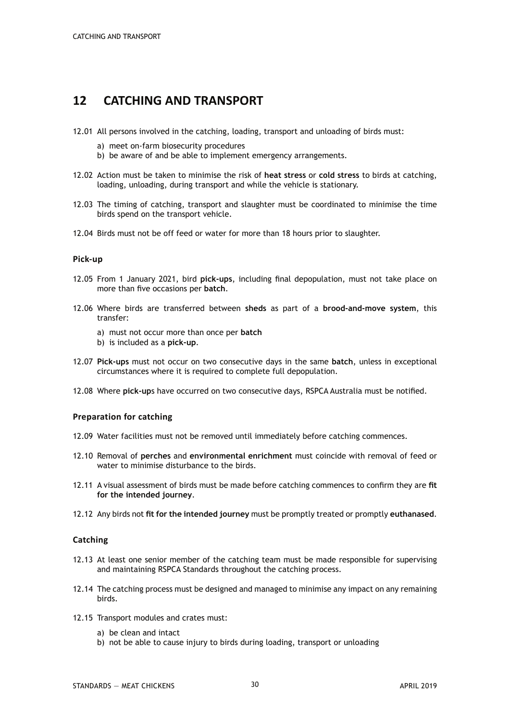## **12 CATCHING AND TRANSPORT**

- 12.01 All persons involved in the catching, loading, transport and unloading of birds must:
	- a) meet on-farm biosecurity procedures
	- b) be aware of and be able to implement emergency arrangements.
- 12.02 Action must be taken to minimise the risk of **heat stress** or **cold stress** to birds at catching, loading, unloading, during transport and while the vehicle is stationary.
- 12.03 The timing of catching, transport and slaughter must be coordinated to minimise the time birds spend on the transport vehicle.
- 12.04 Birds must not be off feed or water for more than 18 hours prior to slaughter.

#### **Pick-up**

- 12.05 From 1 January 2021, bird **pick-ups**, including final depopulation, must not take place on more than five occasions per **batch**.
- 12.06 Where birds are transferred between **sheds** as part of a **brood-and-move system**, this transfer:
	- a) must not occur more than once per **batch**
	- b) is included as a **pick-up**.
- 12.07 **Pick-ups** must not occur on two consecutive days in the same **batch**, unless in exceptional circumstances where it is required to complete full depopulation.
- 12.08 Where **pick-up**s have occurred on two consecutive days, RSPCA Australia must be notified.

#### **Preparation for catching**

- 12.09 Water facilities must not be removed until immediately before catching commences.
- 12.10 Removal of **perches** and **environmental enrichment** must coincide with removal of feed or water to minimise disturbance to the birds.
- 12.11 A visual assessment of birds must be made before catching commences to confirm they are **fit for the intended journey**.
- 12.12 Any birds not **fit for the intended journey** must be promptly treated or promptly **euthanased**.

#### **Catching**

- 12.13 At least one senior member of the catching team must be made responsible for supervising and maintaining RSPCA Standards throughout the catching process.
- 12.14 The catching process must be designed and managed to minimise any impact on any remaining birds.
- 12.15 Transport modules and crates must:
	- a) be clean and intact
	- b) not be able to cause injury to birds during loading, transport or unloading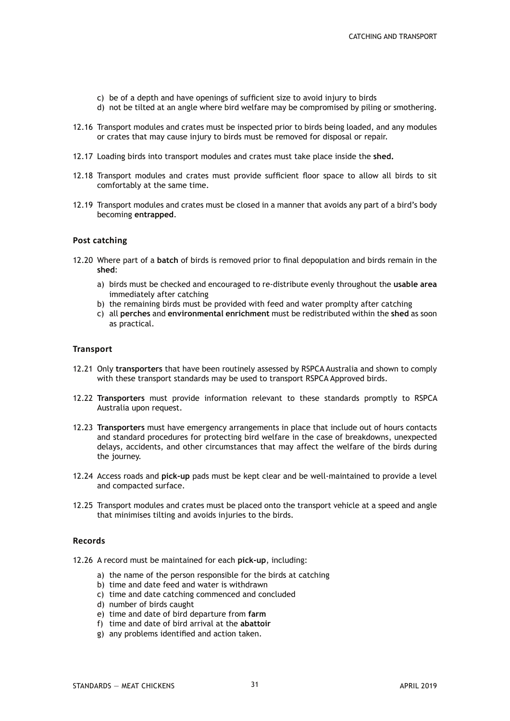- c) be of a depth and have openings of sufficient size to avoid injury to birds
- d) not be tilted at an angle where bird welfare may be compromised by piling or smothering.
- 12.16 Transport modules and crates must be inspected prior to birds being loaded, and any modules or crates that may cause injury to birds must be removed for disposal or repair.
- 12.17 Loading birds into transport modules and crates must take place inside the **shed.**
- 12.18 Transport modules and crates must provide sufficient floor space to allow all birds to sit comfortably at the same time.
- 12.19 Transport modules and crates must be closed in a manner that avoids any part of a bird's body becoming **entrapped**.

#### **Post catching**

- 12.20 Where part of a **batch** of birds is removed prior to final depopulation and birds remain in the **shed**:
	- a) birds must be checked and encouraged to re-distribute evenly throughout the **usable area** immediately after catching
	- b) the remaining birds must be provided with feed and water promplty after catching
	- c) all **perches** and **environmental enrichment** must be redistributed within the **shed** as soon as practical.

#### **Transport**

- 12.21 Only **transporters** that have been routinely assessed by RSPCA Australia and shown to comply with these transport standards may be used to transport RSPCA Approved birds.
- 12.22 **Transporters** must provide information relevant to these standards promptly to RSPCA Australia upon request.
- 12.23 **Transporters** must have emergency arrangements in place that include out of hours contacts and standard procedures for protecting bird welfare in the case of breakdowns, unexpected delays, accidents, and other circumstances that may affect the welfare of the birds during the journey.
- 12.24 Access roads and **pick-up** pads must be kept clear and be well-maintained to provide a level and compacted surface.
- 12.25 Transport modules and crates must be placed onto the transport vehicle at a speed and angle that minimises tilting and avoids injuries to the birds.

#### **Records**

- 12.26 A record must be maintained for each **pick-up**, including:
	- a) the name of the person responsible for the birds at catching
	- b) time and date feed and water is withdrawn
	- c) time and date catching commenced and concluded
	- d) number of birds caught
	- e) time and date of bird departure from **farm**
	- f) time and date of bird arrival at the **abattoir**
	- g) any problems identified and action taken.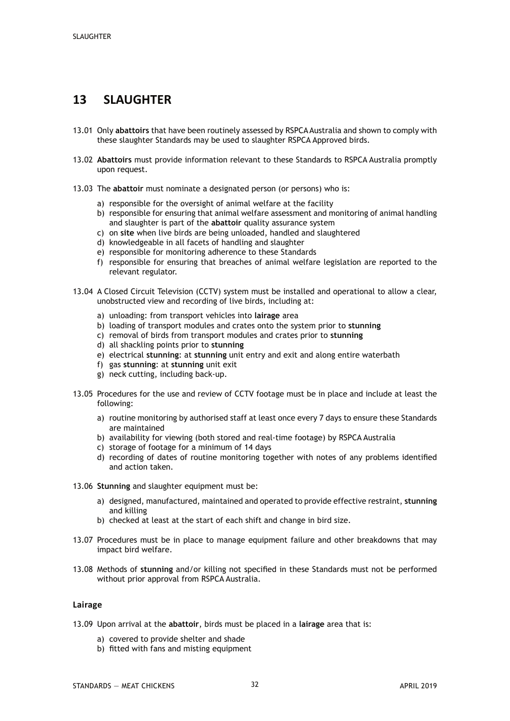## **13 SLAUGHTER**

- 13.01 Only **abattoirs** that have been routinely assessed by RSPCA Australia and shown to comply with these slaughter Standards may be used to slaughter RSPCA Approved birds.
- 13.02 **Abattoirs** must provide information relevant to these Standards to RSPCA Australia promptly upon request.
- 13.03 The **abattoir** must nominate a designated person (or persons) who is:
	- a) responsible for the oversight of animal welfare at the facility
	- b) responsible for ensuring that animal welfare assessment and monitoring of animal handling and slaughter is part of the **abattoir** quality assurance system
	- c) on **site** when live birds are being unloaded, handled and slaughtered
	- d) knowledgeable in all facets of handling and slaughter
	- e) responsible for monitoring adherence to these Standards
	- f) responsible for ensuring that breaches of animal welfare legislation are reported to the relevant regulator.
- 13.04 A Closed Circuit Television (CCTV) system must be installed and operational to allow a clear, unobstructed view and recording of live birds, including at:
	- a) unloading: from transport vehicles into **lairage** area
	- b) loading of transport modules and crates onto the system prior to **stunning**
	- c) removal of birds from transport modules and crates prior to **stunning**
	- d) all shackling points prior to **stunning**
	- e) electrical **stunning**: at **stunning** unit entry and exit and along entire waterbath
	- f) gas **stunning**: at **stunning** unit exit
	- g) neck cutting, including back-up.
- 13.05 Procedures for the use and review of CCTV footage must be in place and include at least the following:
	- a) routine monitoring by authorised staff at least once every 7 days to ensure these Standards are maintained
	- b) availability for viewing (both stored and real-time footage) by RSPCA Australia
	- c) storage of footage for a minimum of 14 days
	- d) recording of dates of routine monitoring together with notes of any problems identified and action taken.
- 13.06 **Stunning** and slaughter equipment must be:
	- a) designed, manufactured, maintained and operated to provide effective restraint, **stunning** and killing
	- b) checked at least at the start of each shift and change in bird size.
- 13.07 Procedures must be in place to manage equipment failure and other breakdowns that may impact bird welfare.
- 13.08 Methods of **stunning** and/or killing not specified in these Standards must not be performed without prior approval from RSPCA Australia.

#### **Lairage**

- 13.09 Upon arrival at the **abattoir**, birds must be placed in a **lairage** area that is:
	- a) covered to provide shelter and shade
	- b) fitted with fans and misting equipment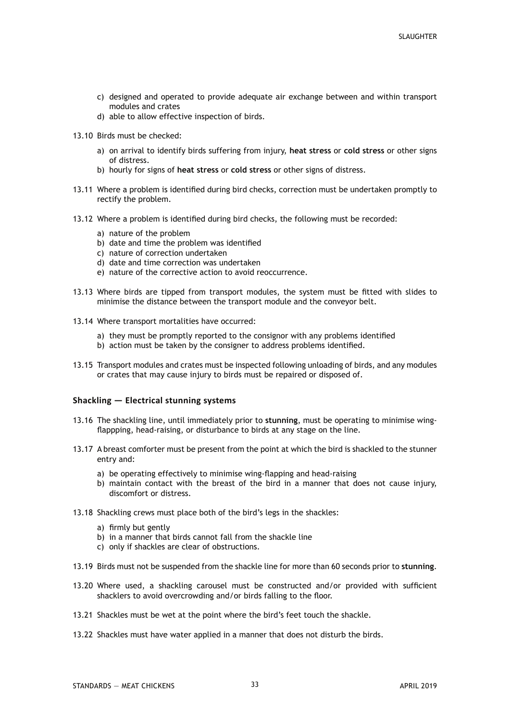- c) designed and operated to provide adequate air exchange between and within transport modules and crates
- d) able to allow effective inspection of birds.
- 13.10 Birds must be checked:
	- a) on arrival to identify birds suffering from injury, **heat stress** or **cold stress** or other signs of distress.
	- b) hourly for signs of **heat stress** or **cold stress** or other signs of distress.
- 13.11 Where a problem is identified during bird checks, correction must be undertaken promptly to rectify the problem.
- 13.12 Where a problem is identified during bird checks, the following must be recorded:
	- a) nature of the problem
	- b) date and time the problem was identified
	- c) nature of correction undertaken
	- d) date and time correction was undertaken
	- e) nature of the corrective action to avoid reoccurrence.
- 13.13 Where birds are tipped from transport modules, the system must be fitted with slides to minimise the distance between the transport module and the conveyor belt.
- 13.14 Where transport mortalities have occurred:
	- a) they must be promptly reported to the consignor with any problems identified
	- b) action must be taken by the consigner to address problems identified.
- 13.15 Transport modules and crates must be inspected following unloading of birds, and any modules or crates that may cause injury to birds must be repaired or disposed of.

#### **Shackling — Electrical stunning systems**

- 13.16 The shackling line, until immediately prior to **stunning**, must be operating to minimise wingflappping, head-raising, or disturbance to birds at any stage on the line.
- 13.17 A breast comforter must be present from the point at which the bird is shackled to the stunner entry and:
	- a) be operating effectively to minimise wing-flapping and head-raising
	- b) maintain contact with the breast of the bird in a manner that does not cause injury, discomfort or distress.
- 13.18 Shackling crews must place both of the bird's legs in the shackles:
	- a) firmly but gently
	- b) in a manner that birds cannot fall from the shackle line
	- c) only if shackles are clear of obstructions.
- 13.19 Birds must not be suspended from the shackle line for more than 60 seconds prior to **stunning**.
- 13.20 Where used, a shackling carousel must be constructed and/or provided with sufficient shacklers to avoid overcrowding and/or birds falling to the floor.
- 13.21 Shackles must be wet at the point where the bird's feet touch the shackle.
- 13.22 Shackles must have water applied in a manner that does not disturb the birds.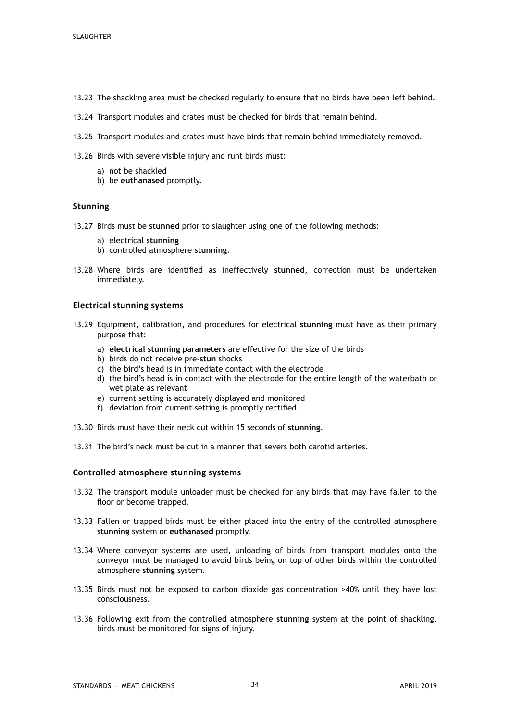- 13.23 The shackling area must be checked regularly to ensure that no birds have been left behind.
- 13.24 Transport modules and crates must be checked for birds that remain behind.
- 13.25 Transport modules and crates must have birds that remain behind immediately removed.
- 13.26 Birds with severe visible injury and runt birds must:
	- a) not be shackled
	- b) be **euthanased** promptly.

#### **Stunning**

- 13.27 Birds must be **stunned** prior to slaughter using one of the following methods:
	- a) electrical **stunning**
	- b) controlled atmosphere **stunning**.
- 13.28 Where birds are identified as ineffectively **stunned**, correction must be undertaken immediately.

#### **Electrical stunning systems**

- 13.29 Equipment, calibration, and procedures for electrical **stunning** must have as their primary purpose that:
	- a) **electrical stunning parameters** are effective for the size of the birds
	- b) birds do not receive pre-**stun** shocks
	- c) the bird's head is in immediate contact with the electrode
	- d) the bird's head is in contact with the electrode for the entire length of the waterbath or wet plate as relevant
	- e) current setting is accurately displayed and monitored
	- f) deviation from current setting is promptly rectified.
- 13.30 Birds must have their neck cut within 15 seconds of **stunning**.
- 13.31 The bird's neck must be cut in a manner that severs both carotid arteries.

#### **Controlled atmosphere stunning systems**

- 13.32 The transport module unloader must be checked for any birds that may have fallen to the floor or become trapped.
- 13.33 Fallen or trapped birds must be either placed into the entry of the controlled atmosphere **stunning** system or **euthanased** promptly.
- 13.34 Where conveyor systems are used, unloading of birds from transport modules onto the conveyor must be managed to avoid birds being on top of other birds within the controlled atmosphere **stunning** system.
- 13.35 Birds must not be exposed to carbon dioxide gas concentration >40% until they have lost consciousness.
- 13.36 Following exit from the controlled atmosphere **stunning** system at the point of shackling, birds must be monitored for signs of injury.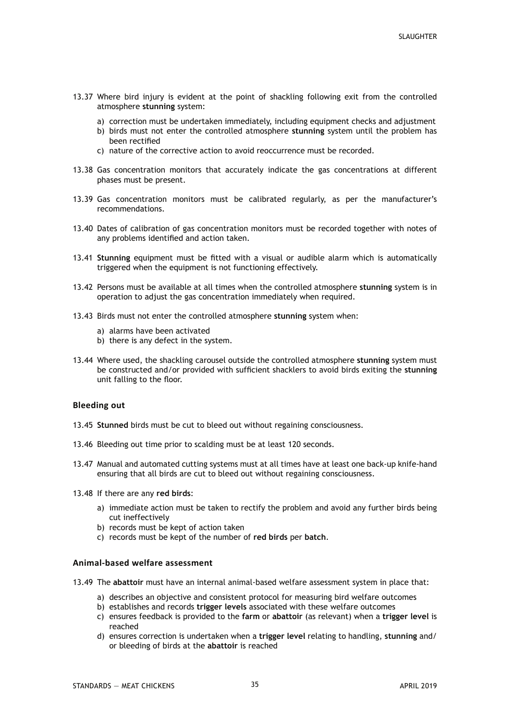- 13.37 Where bird injury is evident at the point of shackling following exit from the controlled atmosphere **stunning** system:
	- a) correction must be undertaken immediately, including equipment checks and adjustment
	- b) birds must not enter the controlled atmosphere **stunning** system until the problem has been rectified
	- c) nature of the corrective action to avoid reoccurrence must be recorded.
- 13.38 Gas concentration monitors that accurately indicate the gas concentrations at different phases must be present.
- 13.39 Gas concentration monitors must be calibrated regularly, as per the manufacturer's recommendations.
- 13.40 Dates of calibration of gas concentration monitors must be recorded together with notes of any problems identified and action taken.
- 13.41 **Stunning** equipment must be fitted with a visual or audible alarm which is automatically triggered when the equipment is not functioning effectively.
- 13.42 Persons must be available at all times when the controlled atmosphere **stunning** system is in operation to adjust the gas concentration immediately when required.
- 13.43 Birds must not enter the controlled atmosphere **stunning** system when:
	- a) alarms have been activated
	- b) there is any defect in the system.
- 13.44 Where used, the shackling carousel outside the controlled atmosphere **stunning** system must be constructed and/or provided with sufficient shacklers to avoid birds exiting the **stunning** unit falling to the floor.

#### **Bleeding out**

- 13.45 **Stunned** birds must be cut to bleed out without regaining consciousness.
- 13.46 Bleeding out time prior to scalding must be at least 120 seconds.
- 13.47 Manual and automated cutting systems must at all times have at least one back-up knife-hand ensuring that all birds are cut to bleed out without regaining consciousness.
- 13.48 If there are any **red birds**:
	- a) immediate action must be taken to rectify the problem and avoid any further birds being cut ineffectively
	- b) records must be kept of action taken
	- c) records must be kept of the number of **red birds** per **batch**.

#### **Animal-based welfare assessment**

- 13.49 The **abattoir** must have an internal animal-based welfare assessment system in place that:
	- a) describes an objective and consistent protocol for measuring bird welfare outcomes
	- b) establishes and records **trigger levels** associated with these welfare outcomes
	- c) ensures feedback is provided to the **farm** or **abattoir** (as relevant) when a **trigger level** is reached
	- d) ensures correction is undertaken when a **trigger level** relating to handling, **stunning** and/ or bleeding of birds at the **abattoir** is reached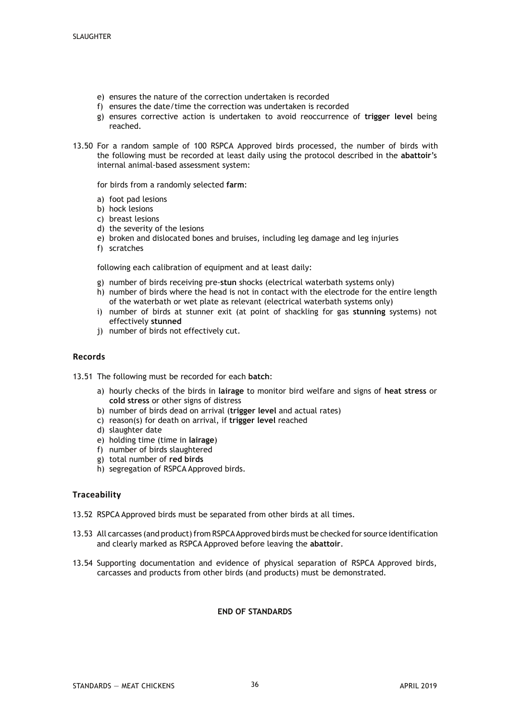- e) ensures the nature of the correction undertaken is recorded
- f) ensures the date/time the correction was undertaken is recorded
- g) ensures corrective action is undertaken to avoid reoccurrence of **trigger level** being reached.
- 13.50 For a random sample of 100 RSPCA Approved birds processed, the number of birds with the following must be recorded at least daily using the protocol described in the **abattoir**'s internal animal-based assessment system:

for birds from a randomly selected **farm**:

- a) foot pad lesions
- b) hock lesions
- c) breast lesions
- d) the severity of the lesions
- e) broken and dislocated bones and bruises, including leg damage and leg injuries
- f) scratches

following each calibration of equipment and at least daily:

- g) number of birds receiving pre-**stun** shocks (electrical waterbath systems only)
- h) number of birds where the head is not in contact with the electrode for the entire length of the waterbath or wet plate as relevant (electrical waterbath systems only)
- i) number of birds at stunner exit (at point of shackling for gas **stunning** systems) not effectively **stunned**
- j) number of birds not effectively cut.

#### **Records**

- 13.51 The following must be recorded for each **batch**:
	- a) hourly checks of the birds in **lairage** to monitor bird welfare and signs of **heat stress** or **cold stress** or other signs of distress
	- b) number of birds dead on arrival (**trigger level** and actual rates)
	- c) reason(s) for death on arrival, if **trigger level** reached
	- d) slaughter date
	- e) holding time (time in **lairage**)
	- f) number of birds slaughtered
	- g) total number of **red birds**
	- h) segregation of RSPCA Approved birds.

#### **Traceability**

- 13.52 RSPCA Approved birds must be separated from other birds at all times.
- 13.53 All carcasses (and product) from RSPCA Approved birds must be checked for source identification and clearly marked as RSPCA Approved before leaving the **abattoir**.
- 13.54 Supporting documentation and evidence of physical separation of RSPCA Approved birds, carcasses and products from other birds (and products) must be demonstrated.

#### **END OF STANDARDS**